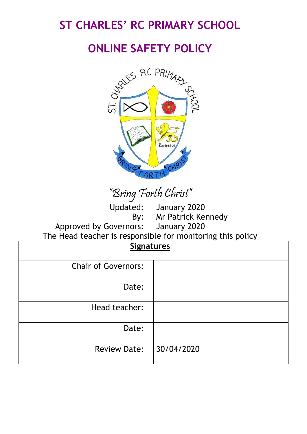# **ST CHARLES' RC PRIMARY SCHOOL**

# **ONLINE SAFETY POLICY**



"Bring Forth Christ"

Updated: January 2020

By: Mr Patrick Kennedy

Approved by Governors: January 2020

The Head teacher is responsible for monitoring this policy

| <b>Signatures</b>          |            |  |  |  |
|----------------------------|------------|--|--|--|
| <b>Chair of Governors:</b> |            |  |  |  |
| Date:                      |            |  |  |  |
| Head teacher:              |            |  |  |  |
| Date:                      |            |  |  |  |
| <b>Review Date:</b>        | 30/04/2020 |  |  |  |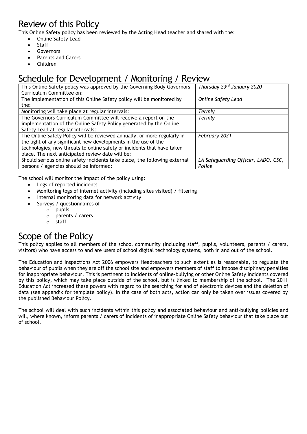### Review of this Policy

This Online Safety policy has been reviewed by the Acting Head teacher and shared with the:

- Online Safety Lead
- **Staff**
- **Governors**
- Parents and Carers
- Children

### Schedule for Development / Monitoring / Review

| This Online Safety policy was approved by the Governing Body Governors    | Thursday 23rd January 2020          |
|---------------------------------------------------------------------------|-------------------------------------|
| Curriculum Committee on:                                                  |                                     |
| The implementation of this Online Safety policy will be monitored by      | <b>Online Safety Lead</b>           |
| the:                                                                      |                                     |
| Monitoring will take place at regular intervals:                          | Termly                              |
| The Governors Curriculum Committee will receive a report on the           | Termly                              |
| implementation of the Online Safety Policy generated by the Online        |                                     |
| Safety Lead at regular intervals:                                         |                                     |
| The Online Safety Policy will be reviewed annually, or more regularly in  | February 2021                       |
| the light of any significant new developments in the use of the           |                                     |
| technologies, new threats to online safety or incidents that have taken   |                                     |
| place. The next anticipated review date will be:                          |                                     |
| Should serious online safety incidents take place, the following external | LA Safeguarding Officer, LADO, CSC, |
| persons / agencies should be informed:                                    | Police                              |

The school will monitor the impact of the policy using:

- Logs of reported incidents
- Monitoring logs of internet activity (including sites visited) / filtering
- Internal monitoring data for network activity
- Surveys / questionnaires of
	- o pupils
	- o parents / carers
	- o staff

### Scope of the Policy

This policy applies to all members of the school community (including staff, pupils, volunteers, parents / carers, visitors) who have access to and are users of school digital technology systems, both in and out of the school.

The Education and Inspections Act 2006 empowers Headteachers to such extent as is reasonable, to regulate the behaviour of pupils when they are off the school site and empowers members of staff to impose disciplinary penalties for inappropriate behaviour. This is pertinent to incidents of online-bullying or other Online Safety incidents covered by this policy, which may take place outside of the school, but is linked to membership of the school. The 2011 Education Act increased these powers with regard to the searching for and of electronic devices and the deletion of data (see appendix for template policy). In the case of both acts, action can only be taken over issues covered by the published Behaviour Policy.

The school will deal with such incidents within this policy and associated behaviour and anti-bullying policies and will, where known, inform parents / carers of incidents of inappropriate Online Safety behaviour that take place out of school.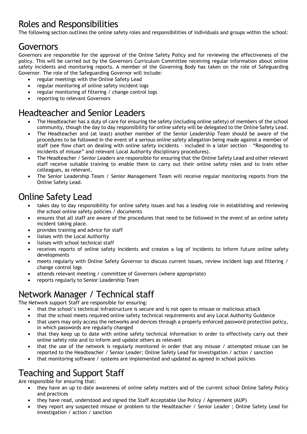## Roles and Responsibilities

The following section outlines the online safety roles and responsibilities of individuals and groups within the school:

### Governors

Governors are responsible for the approval of the Online Safety Policy and for reviewing the effectiveness of the policy. This will be carried out by the Governors Curriculum Committee receiving regular information about online safety incidents and monitoring reports. A member of the Governing Body has taken on the role of Safeguarding Governor. The role of the Safeguarding Governor will include:

- regular meetings with the Online Safety Lead
- regular monitoring of online safety incident logs
- regular monitoring of filtering / change control logs
- reporting to relevant Governors

### Headteacher and Senior Leaders

- The Headteacher has a duty of care for ensuring the safety (including online safety) of members of the school community, though the day to day responsibility for online safety will be delegated to the Online Safety Lead.
- The Headteacher and (at least) another member of the Senior Leadership Team should be aware of the procedures to be followed in the event of a serious online safety allegation being made against a member of staff (see flow chart on dealing with online safety incidents – included in a later section – "Responding to incidents of misuse" and relevant Local Authority disciplinary procedures).
- The Headteacher / Senior Leaders are responsible for ensuring that the Online Safety Lead and other relevant staff receive suitable training to enable them to carry out their online safety roles and to train other colleagues, as relevant.
- The Senior Leadership Team / Senior Management Team will receive regular monitoring reports from the Online Safety Lead.

### Online Safety Lead

- takes day to day responsibility for online safety issues and has a leading role in establishing and reviewing the school online safety policies / documents
- ensures that all staff are aware of the procedures that need to be followed in the event of an online safety incident taking place.
- provides training and advice for staff
- liaises with the Local Authority
- liaises with school technical staff
- receives reports of online safety incidents and creates a log of incidents to inform future online safety developments
- meets regularly with Online Safety Governor to discuss current issues, review incident logs and filtering / change control logs
- attends relevant meeting / committee of Governors (where appropriate)
- reports regularly to Senior Leadership Team

## Network Manager / Technical staff

The Network support Staff are responsible for ensuring:

- that the school's technical infrastructure is secure and is not open to misuse or malicious attack
- that the school meets required online safety technical requirements and any Local Authority Guidance
- that users may only access the networks and devices through a properly enforced password protection policy, in which passwords are regularly changed
- that they keep up to date with online safety technical information in order to effectively carry out their online safety role and to inform and update others as relevant
- that the use of the network is regularly monitored in order that any misuse / attempted misuse can be reported to the Headteacher / Senior Leader; Online Safety Lead for investigation / action / sanction
- that monitoring software / systems are implemented and updated as agreed in school policies

## Teaching and Support Staff

Are responsible for ensuring that:

- they have an up to date awareness of online safety matters and of the current school Online Safety Policy and practices
- they have read, understood and signed the Staff Acceptable Use Policy / Agreement (AUP)
- they report any suspected misuse or problem to the Headteacher / Senior Leader ; Online Safety Lead for investigation / action / sanction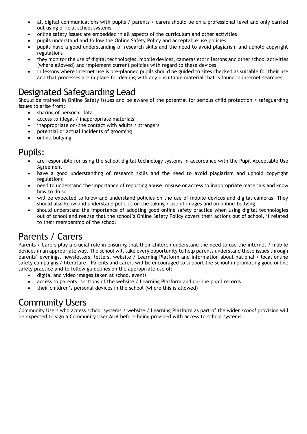- all digital communications with pupils / parents / carers should be on a professional level and only carried out using official school systems
- online safety issues are embedded in all aspects of the curriculum and other activities
- pupils understand and follow the Online Safety Policy and acceptable use policies
- pupils have a good understanding of research skills and the need to avoid plagiarism and uphold copyright regulations
- they monitor the use of digital technologies, mobile devices, cameras etc in lessons and other school activities (where allowed) and implement current policies with regard to these devices
- in lessons where internet use is pre-planned pupils should be guided to sites checked as suitable for their use and that processes are in place for dealing with any unsuitable material that is found in internet searches

### Designated Safeguarding Lead

Should be trained in Online Safety issues and be aware of the potential for serious child protection / safeguarding issues to arise from:

- sharing of personal data
- access to illegal / inappropriate materials
- inappropriate on-line contact with adults / strangers
- potential or actual incidents of grooming
- online-bullying

### Pupils:

- are responsible for using the school digital technology systems in accordance with the Pupil Acceptable Use Agreement
- have a good understanding of research skills and the need to avoid plagiarism and uphold copyright regulations
- need to understand the importance of reporting abuse, misuse or access to inappropriate materials and know how to do so
- will be expected to know and understand policies on the use of mobile devices and digital cameras. They should also know and understand policies on the taking / use of images and on online-bullying.
- should understand the importance of adopting good online safety practice when using digital technologies out of school and realise that the school's Online Safety Policy covers their actions out of school, if related to their membership of the school

### Parents / Carers

Parents / Carers play a crucial role in ensuring that their children understand the need to use the internet / mobile devices in an appropriate way. The school will take every opportunity to help parents understand these issues through parents' evenings, newsletters, letters, website / Learning Platform and information about national / local online safety campaigns / literature. Parents and carers will be encouraged to support the school in promoting good online safety practice and to follow guidelines on the appropriate use of:

- digital and video images taken at school events
- access to parents' sections of the website / Learning Platform and on-line pupil records
- their children's personal devices in the school (where this is allowed)

### Community Users

Community Users who access school systems / website / Learning Platform as part of the wider *school* provision will be expected to sign a Community User AUA before being provided with access to school systems.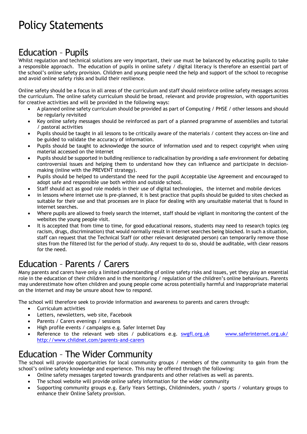# Policy Statements

## Education – Pupils

Whilst regulation and technical solutions are very important, their use must be balanced by educating pupils to take a responsible approach. The education of pupils in online safety / digital literacy is therefore an essential part of the school's online safety provision. Children and young people need the help and support of the school to recognise and avoid online safety risks and build their resilience.

Online safety should be a focus in all areas of the curriculum and staff should reinforce online safety messages across the curriculum. The online safety curriculum should be broad, relevant and provide progression, with opportunities for creative activities and will be provided in the following ways:

- A planned online safety curriculum should be provided as part of Computing / PHSE / other lessons and should be regularly revisited
- Key online safety messages should be reinforced as part of a planned programme of assemblies and tutorial / pastoral activities
- Pupils should be taught in all lessons to be critically aware of the materials / content they access on-line and be guided to validate the accuracy of information.
- Pupils should be taught to acknowledge the source of information used and to respect copyright when using material accessed on the internet
- Pupils should be supported in building resilience to radicalisation by providing a safe environment for debating controversial issues and helping them to understand how they can influence and participate in decisionmaking (inline with the PREVENT strategy).
- Pupils should be helped to understand the need for the pupil Acceptable Use Agreement and encouraged to adopt safe and responsible use both within and outside school.
- Staff should act as good role models in their use of digital technologies, the internet and mobile devices
- in lessons where internet use is pre-planned, it is best practice that pupils should be guided to sites checked as suitable for their use and that processes are in place for dealing with any unsuitable material that is found in internet searches.
- Where pupils are allowed to freely search the internet, staff should be vigilant in monitoring the content of the websites the young people visit.
- It is accepted that from time to time, for good educational reasons, students may need to research topics (eg racism, drugs, discrimination) that would normally result in internet searches being blocked. In such a situation, staff can request that the Technical Staff (or other relevant designated person) can temporarily remove those sites from the filtered list for the period of study. Any request to do so, should be auditable, with clear reasons for the need.

### Education – Parents / Carers

Many parents and carers have only a limited understanding of online safety risks and issues, yet they play an essential role in the education of their children and in the monitoring / regulation of the children's online behaviours. Parents may underestimate how often children and young people come across potentially harmful and inappropriate material on the internet and may be unsure about how to respond.

The school will therefore seek to provide information and awareness to parents and carers through:

- Curriculum activities
- Letters, newsletters, web site, Facebook
- Parents / Carers evenings / sessions
- High profile events / campaigns e.g. Safer Internet Day
- Reference to the relevant web sites / publications e.g. [swgfl.org.uk](http://swgfl.org.uk/) www.saferinternet.org.uk/ <http://www.childnet.com/parents-and-carers>

### Education – The Wider Community

The school will provide opportunities for local community groups / members of the community to gain from the school's online safety knowledge and experience. This may be offered through the following:

- Online safety messages targeted towards grandparents and other relatives as well as parents.
- The school website will provide online safety information for the wider community
- Supporting community groups e.g. Early Years Settings, Childminders, youth / sports / voluntary groups to enhance their Online Safety provision.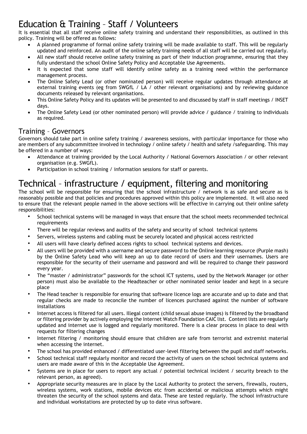## Education & Training – Staff / Volunteers

It is essential that all staff receive online safety training and understand their responsibilities, as outlined in this policy. Training will be offered as follows:

- A planned programme of formal online safety training will be made available to staff. This will be regularly updated and reinforced. An audit of the online safety training needs of all staff will be carried out regularly.
- All new staff should receive online safety training as part of their induction programme, ensuring that they fully understand the school Online Safety Policy and Acceptable Use Agreements.
- It is expected that some staff will identify online safety as a training need within the performance management process.
- The Online Safety Lead (or other nominated person) will receive regular updates through attendance at external training events (eg from SWGfL / LA / other relevant organisations) and by reviewing guidance documents released by relevant organisations.
- This Online Safety Policy and its updates will be presented to and discussed by staff in staff meetings / INSET days.
- The Online Safety Lead (or other nominated person) will provide advice / guidance / training to individuals as required.

### Training – Governors

Governors should take part in online safety training / awareness sessions, with particular importance for those who are members of any subcommittee involved in technology / online safety / health and safety /safeguarding. This may be offered in a number of ways:

- Attendance at training provided by the Local Authority / National Governors Association / or other relevant organisation (e.g. SWGfL).
- Participation in school training / information sessions for staff or parents.

## Technical – infrastructure / equipment, filtering and monitoring

The school will be responsible for ensuring that the school infrastructure / network is as safe and secure as is reasonably possible and that policies and procedures approved within this policy are implemented. It will also need to ensure that the relevant people named in the above sections will be effective in carrying out their online safety responsibilities:

- *•* School technical systems will be managed in ways that ensure that the school meets recommended technical requirements
- *•* There will be regular reviews and audits of the safety and security of school technical systems
- *•* Servers, wireless systems and cabling must be securely located and physical access restricted
- *•* All users will have clearly defined access rights to school technical systems and devices.
- *•* All users will be provided with a username and secure password to the Online learning resource (Purple mash) by the Online Safety Lead who will keep an up to date record of users and their usernames. Users are responsible for the security of their username and password and will be required to change their password every year.
- *•* The "master / administrator" passwords for the school ICT systems, used by the Network Manager (or other person) must also be available to the Headteacher or other nominated senior leader and kept in a secure place
- *•* The Head teacher is responsible for ensuring that software licence logs are accurate and up to date and that regular checks are made to reconcile the number of licences purchased against the number of software installations
- *•* Internet access is filtered for all users. Illegal content (child sexual abuse images) is filtered by the broadband or filtering provider by actively employing the Internet Watch Foundation CAIC list. Content lists are regularly updated and internet use is logged and regularly monitored. There is a clear process in place to deal with requests for filtering changes
- *•* Internet filtering / monitoring should ensure that children are safe from terrorist and extremist material when accessing the internet.
- *•* The school has provided enhanced / differentiated user-level filtering between the pupil and staff networks.
- *•* School technical staff regularly monitor and record the activity of users on the school technical systems and users are made aware of this in the Acceptable Use Agreement.
- *•* Systems are in place for users to report any actual / potential technical incident / security breach to the relevant person, as agreed).
- *•* Appropriate security measures are in place by the Local Authority to protect the servers, firewalls, routers, wireless systems, work stations, mobile devices etc from accidental or malicious attempts which might threaten the security of the school systems and data. These are tested regularly. The school infrastructure and individual workstations are protected by up to date virus software.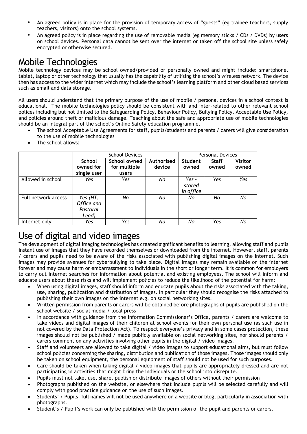- *•* An agreed policy is in place for the provision of temporary access of "guests" (eg trainee teachers, supply teachers, visitors) onto the school systems.
- *•* An agreed policy is in place regarding the use of removable media (eg memory sticks / CDs / DVDs) by users on school devices. Personal data cannot be sent over the internet or taken off the school site unless safely encrypted or otherwise secured.

### Mobile Technologies

Mobile technology devices may be school owned/provided or personally owned and might include: smartphone, tablet, laptop or other technology that usually has the capability of utilising the school's wireless network. The device then has access to the wider internet which may include the school's learning platform and other cloud based services such as email and data storage.

All users should understand that the primary purpose of the use of mobile / personal devices in a school context is educational. The mobile technologies policy should be consistent with and inter-related to other relevant school polices including but not limited to the Safeguarding Policy, Behaviour Policy, Bullying Policy, Acceptable Use Policy, and policies around theft or malicious damage. Teaching about the safe and appropriate use of mobile technologies should be an integral part of the school's Online Safety education programme.

- The school Acceptable Use Agreements for staff, pupils/students and parents / carers will give consideration to the use of mobile technologies
- The school allows:

|                     | <b>School Devices</b>                       |                                       |                      | <b>Personal Devices</b>      |                       |                         |  |
|---------------------|---------------------------------------------|---------------------------------------|----------------------|------------------------------|-----------------------|-------------------------|--|
|                     | <b>School</b><br>owned for<br>single user   | School owned<br>for multiple<br>users | Authorised<br>device | Student<br>owned             | <b>Staff</b><br>owned | <b>Visitor</b><br>owned |  |
| Allowed in school   | Yes                                         | Yes                                   | No                   | Yes -<br>stored<br>in office | Yes                   | Yes                     |  |
| Full network access | Yes (HT,<br>Office and<br>Pastoral<br>Lead) | No                                    | No                   | No                           | No                    | No                      |  |
| Internet only       | Yes                                         | Yes                                   | No                   | No                           | Yes                   | No                      |  |

### Use of digital and video images

The development of digital imaging technologies has created significant benefits to learning, allowing staff and pupils instant use of images that they have recorded themselves or downloaded from the internet. However, staff, parents / carers and pupils need to be aware of the risks associated with publishing digital images on the internet. Such images may provide avenues for cyberbullying to take place. Digital images may remain available on the internet forever and may cause harm or embarrassment to individuals in the short or longer term. It is common for employers to carry out internet searches for information about potential and existing employees. The school will inform and educate users about these risks and will implement policies to reduce the likelihood of the potential for harm:

- When using digital images, staff should inform and educate pupils about the risks associated with the taking, use, sharing, publication and distribution of images. In particular they should recognise the risks attached to publishing their own images on the internet e.g. on social networking sites.
- Written permission from parents or carers will be obtained before photographs of pupils are published on the school website / social media / local press
- In accordance with guidance from the Information Commissioner's Office, parents / carers are welcome to take videos and digital images of their children at school events for their own personal use (as such use in not covered by the Data Protection Act). To respect everyone's privacy and in some cases protection, these images should not be published / made publicly available on social networking sites, nor should parents / carers comment on any activities involving other pupils in the digital / video images.
- Staff and volunteers are allowed to take digital / video images to support educational aims, but must follow school policies concerning the sharing, distribution and publication of those images. Those images should only be taken on school equipment, the personal equipment of staff should not be used for such purposes.
- Care should be taken when taking digital / video images that pupils are appropriately dressed and are not participating in activities that might bring the individuals or the school into disrepute.
- Pupils must not take, use, share, publish or distribute images of others without their permission
- Photographs published on the website, or elsewhere that include pupils will be selected carefully and will comply with good practice guidance on the use of such images.
- Students' / Pupils' full names will not be used anywhere on a website or blog, particularly in association with photographs.
- Student's / Pupil's work can only be published with the permission of the pupil and parents or carers.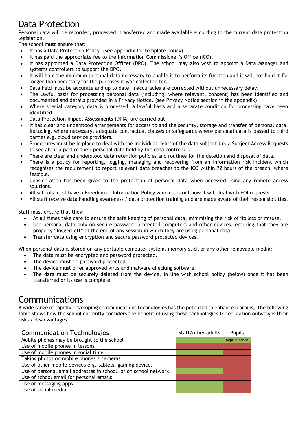## Data Protection

Personal data will be recorded, processed, transferred and made available according to the current data protection legislation.

The school must ensure that:

- It has a Data Protection Policy. (see appendix for template policy)
- It has paid the appropriate fee to the Information Commissioner's Office (ICO).
- It has appointed a Data Protection Officer (DPO). The school may also wish to appoint a Data Manager and systems controllers to support the DPO.
- It will hold the minimum personal data necessary to enable it to perform its function and it will not hold it for longer than necessary for the purposes it was collected for.
- Data held must be accurate and up to date. Inaccuracies are corrected without unnecessary delay.
- The lawful basis for processing personal data (including, where relevant, consent) has been identified and documented and details provided in a Privacy Notice. (see Privacy Notice section in the appendix)
- Where special category data is processed, a lawful basis and a separate condition for processing have been identified.
- Data Protection Impact Assessments (DPIA) are carried out.
- It has clear and understood arrangements for access to and the security, storage and transfer of personal data, including, where necessary, adequate contractual clauses or safeguards where personal data is passed to third parties e.g. cloud service providers.
- Procedures must be in place to deal with the individual rights of the data subject i.e. a Subject Access Requests to see all or a part of their personal data held by the data controller.
- There are clear and understood data retention policies and routines for the deletion and disposal of data.
- There is a policy for reporting, logging, managing and recovering from an information risk incident which recognises the requirement to report relevant data breaches to the ICO within 72 hours of the breach, where feasible.
- Consideration has been given to the protection of personal data when accessed using any remote access solutions.
- All schools must have a Freedom of Information Policy which sets out how it will deal with FOI requests.
- All staff receive data handling awareness / data protection training and are made aware of their responsibilities.

Staff must ensure that they:

- At all times take care to ensure the safe keeping of personal data, minimising the risk of its loss or misuse.
- Use personal data only on secure password protected computers and other devices, ensuring that they are properly "logged-off" at the end of any session in which they are using personal data.
- Transfer data using encryption and secure password protected devices.

When personal data is stored on any portable computer system, memory stick or any other removable media:

- The data must be encrypted and password protected.
- The device must be password protected.
- The device must offer approved virus and malware checking software.
- The data must be securely deleted from the device, in line with school policy (below) once it has been transferred or its use is complete.

### Communications

A wide range of rapidly developing communications technologies has the potential to enhance learning. The following table shows how the school currently considers the benefit of using these technologies for education outweighs their risks / disadvantages:

| <b>Communication Technologies</b>                               | Staff/other adults | Pupils         |
|-----------------------------------------------------------------|--------------------|----------------|
| Mobile phones may be brought to the school                      |                    | Kept in office |
| Use of mobile phones in lessons                                 |                    |                |
| Use of mobile phones in social time                             |                    |                |
| Taking photos on mobile phones / cameras                        |                    |                |
| Use of other mobile devices e.g. tablets, gaming devices        |                    |                |
| Use of personal email addresses in school, or on school network |                    |                |
| Use of school email for personal emails                         |                    |                |
| Use of messaging apps                                           |                    |                |
| Use of social media                                             |                    |                |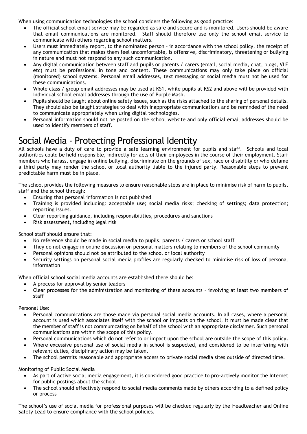When using communication technologies the school considers the following as good practice:

- The official school email service may be regarded as safe and secure and is monitored. Users should be aware that email communications are monitored. Staff should therefore use only the school email service to communicate with others regarding school matters.
- Users must immediately report, to the nominated person in accordance with the school policy, the receipt of any communication that makes them feel uncomfortable, is offensive, discriminatory, threatening or bullying in nature and must not respond to any such communication.
- Any digital communication between staff and pupils or parents / carers (email, social media, chat, blogs, VLE etc) must be professional in tone and content. These communications may only take place on official (monitored) school systems. Personal email addresses, text messaging or social media must not be used for these communications.
- Whole class / group email addresses may be used at KS1, while pupils at KS2 and above will be provided with individual school email addresses through the use of Purple Mash.
- Pupils should be taught about online safety issues, such as the risks attached to the sharing of personal details. They should also be taught strategies to deal with inappropriate communications and be reminded of the need to communicate appropriately when using digital technologies.
- Personal information should not be posted on the school website and only official email addresses should be used to identify members of staff.

### Social Media - Protecting Professional Identity

All schools have a duty of care to provide a safe learning environment for pupils and staff. Schools and local authorities could be held responsible, indirectly for acts of their employees in the course of their employment. Staff members who harass, engage in online bullying, discriminate on the grounds of sex, race or disability or who defame a third party may render the school or local authority liable to the injured party. Reasonable steps to prevent predictable harm must be in place.

The school provides the following measures to ensure reasonable steps are in place to minimise risk of harm to pupils, staff and the school through:

- Ensuring that personal information is not published
- Training is provided including: acceptable use; social media risks; checking of settings; data protection; reporting issues.
- Clear reporting guidance, including responsibilities, procedures and sanctions
- Risk assessment, including legal risk

School staff should ensure that:

- No reference should be made in social media to pupils, parents / carers or school staff
- They do not engage in online discussion on personal matters relating to members of the school community
- Personal opinions should not be attributed to the school or local authority
- Security settings on personal social media profiles are regularly checked to minimise risk of loss of personal information

When official school social media accounts are established there should be:

- A process for approval by senior leaders
- Clear processes for the administration and monitoring of these accounts involving at least two members of staff

Personal Use:

- Personal communications are those made via personal social media accounts. In all cases, where a personal account is used which associates itself with the school or impacts on the school, it must be made clear that the member of staff is not communicating on behalf of the school with an appropriate disclaimer. Such personal communications are within the scope of this policy.
- Personal communications which do not refer to or impact upon the school are outside the scope of this policy.
- Where excessive personal use of social media in school is suspected, and considered to be interfering with relevant duties, disciplinary action may be taken.
- The school permits reasonable and appropriate access to private social media sites outside of directed time.

Monitoring of Public Social Media

- As part of active social media engagement, it is considered good practice to pro-actively monitor the Internet for public postings about the school
- The school should effectively respond to social media comments made by others according to a defined policy or process

The school's use of social media for professional purposes will be checked regularly by the Headteacher and Online Safety Lead to ensure compliance with the school policies.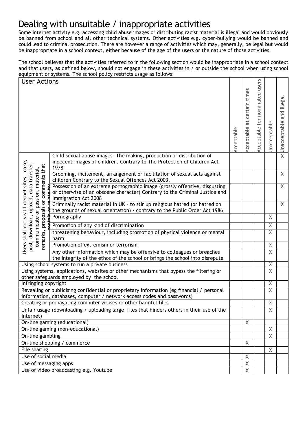### Dealing with unsuitable / inappropriate activities

Some internet activity e.g. accessing child abuse images or distributing racist material is illegal and would obviously be banned from school and all other technical systems. Other activities e.g. cyber-bullying would be banned and could lead to criminal prosecution. There are however a range of activities which may, generally, be legal but would be inappropriate in a school context, either because of the age of the users or the nature of those activities.

The school believes that the activities referred to in the following section would be inappropriate in a school context and that users, as defined below, should not engage in these activities in / or outside the school when using school equipment or systems. The school policy restricts usage as follows:

| <b>User Actions</b>                                                                                                                                                     |                                                                                                                                                                                  |            |                                   |                                   |                |                             |  |
|-------------------------------------------------------------------------------------------------------------------------------------------------------------------------|----------------------------------------------------------------------------------------------------------------------------------------------------------------------------------|------------|-----------------------------------|-----------------------------------|----------------|-----------------------------|--|
|                                                                                                                                                                         |                                                                                                                                                                                  | Acceptable | certain times<br>dt<br>Acceptable | users<br>Acceptable for nominated | Unacceptable   | and illegal<br>Unacceptable |  |
|                                                                                                                                                                         | Child sexual abuse images - The making, production or distribution of<br>indecent images of children. Contrary to The Protection of Children Act<br>1978                         |            |                                   |                                   |                | $\overline{X}$              |  |
|                                                                                                                                                                         | Grooming, incitement, arrangement or facilitation of sexual acts against<br>children Contrary to the Sexual Offences Act 2003.                                                   |            |                                   |                                   |                | X                           |  |
| Users shall not visit Internet sites, make,<br>post, download, upload, data transfer,<br>remarks, proposals or comments that<br>communicate or pass on, material,<br>at | Possession of an extreme pornographic image (grossly offensive, disgusting<br>or otherwise of an obscene character) Contrary to the Criminal Justice and<br>Immigration Act 2008 |            |                                   |                                   |                | X                           |  |
|                                                                                                                                                                         | Criminally racist material in UK - to stir up religious hatred (or hatred on<br>the grounds of sexual orientation) - contrary to the Public Order Act 1986                       |            |                                   |                                   |                | X                           |  |
|                                                                                                                                                                         | Pornography                                                                                                                                                                      |            |                                   |                                   | $\sf X$        |                             |  |
|                                                                                                                                                                         | Promotion of any kind of discrimination                                                                                                                                          |            |                                   |                                   | $\mathsf X$    |                             |  |
|                                                                                                                                                                         | threatening behaviour, including promotion of physical violence or mental<br>harm                                                                                                |            |                                   |                                   | X              |                             |  |
|                                                                                                                                                                         | Promotion of extremism or terrorism                                                                                                                                              |            |                                   |                                   | X              |                             |  |
|                                                                                                                                                                         | Any other information which may be offensive to colleagues or breaches<br>the integrity of the ethos of the school or brings the school into disrepute                           |            |                                   |                                   | $\overline{X}$ |                             |  |
|                                                                                                                                                                         | Using school systems to run a private business                                                                                                                                   |            |                                   |                                   | $\mathsf X$    |                             |  |
|                                                                                                                                                                         | Using systems, applications, websites or other mechanisms that bypass the filtering or<br>other safeguards employed by the school                                                |            |                                   |                                   | $\mathsf X$    |                             |  |
| Infringing copyright                                                                                                                                                    | Revealing or publicising confidential or proprietary information (eg financial / personal                                                                                        |            |                                   |                                   | $\overline{X}$ |                             |  |
| information, databases, computer / network access codes and passwords)                                                                                                  |                                                                                                                                                                                  |            |                                   | $\sf X$                           |                |                             |  |
|                                                                                                                                                                         | Creating or propagating computer viruses or other harmful files                                                                                                                  |            |                                   |                                   | $\mathsf X$    |                             |  |
| Unfair usage (downloading / uploading large files that hinders others in their use of the<br>X<br>internet)                                                             |                                                                                                                                                                                  |            |                                   |                                   |                |                             |  |
| On-line gaming (educational)                                                                                                                                            |                                                                                                                                                                                  |            |                                   |                                   |                |                             |  |
| On-line gaming (non-educational)                                                                                                                                        |                                                                                                                                                                                  |            |                                   |                                   | X              |                             |  |
| On-line gambling                                                                                                                                                        |                                                                                                                                                                                  |            |                                   |                                   | $\sf X$        |                             |  |
| On-line shopping / commerce                                                                                                                                             |                                                                                                                                                                                  |            |                                   |                                   |                |                             |  |
| File sharing<br>Χ                                                                                                                                                       |                                                                                                                                                                                  |            |                                   |                                   |                |                             |  |
|                                                                                                                                                                         | Use of social media<br>Χ                                                                                                                                                         |            |                                   |                                   |                |                             |  |
| Use of messaging apps                                                                                                                                                   |                                                                                                                                                                                  |            | Χ                                 |                                   |                |                             |  |
|                                                                                                                                                                         | Use of video broadcasting e.g. Youtube<br>Χ                                                                                                                                      |            |                                   |                                   |                |                             |  |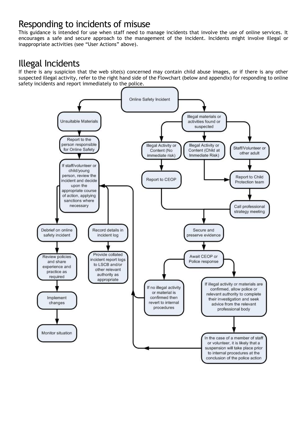### Responding to incidents of misuse

This guidance is intended for use when staff need to manage incidents that involve the use of online services. It encourages a safe and secure approach to the management of the incident. Incidents might involve illegal or inappropriate activities (see "User Actions" above).

### Illegal Incidents

If there is any suspicion that the web site(s) concerned may contain child abuse images, or if there is any other suspected illegal activity, refer to the right hand side of the Flowchart (below and appendix) for responding to online safety incidents and report immediately to the police.

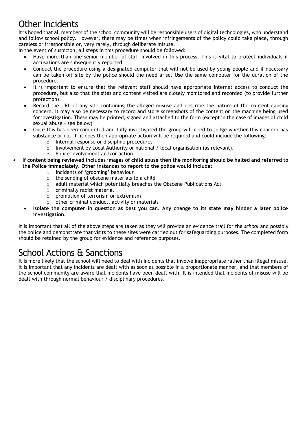## Other Incidents

It is hoped that all members of the school community will be responsible users of digital technologies, who understand and follow school policy. However, there may be times when infringements of the policy could take place, through careless or irresponsible or, very rarely, through deliberate misuse.

In the event of suspicion, all steps in this procedure should be followed:

- Have more than one senior member of staff involved in this process. This is vital to protect individuals if accusations are subsequently reported.
- Conduct the procedure using a designated computer that will not be used by young people and if necessary can be taken off site by the police should the need arise. Use the same computer for the duration of the procedure.
- It is important to ensure that the relevant staff should have appropriate internet access to conduct the procedure, but also that the sites and content visited are closely monitored and recorded (to provide further protection).
- Record the URL of any site containing the alleged misuse and describe the nature of the content causing concern. It may also be necessary to record and store screenshots of the content on the machine being used for investigation. These may be printed, signed and attached to the form (except in the case of images of child sexual abuse – see below)
- Once this has been completed and fully investigated the group will need to judge whether this concern has substance or not. If it does then appropriate action will be required and could include the following:
	- o Internal response or discipline procedures
	- $\circ$  Involvement by Local Authority or national / local organisation (as relevant).
	- o Police involvement and/or action
- **If content being reviewed includes images of child abuse then the monitoring should be halted and referred to the Police immediately. Other instances to report to the police would include:**
	- o incidents of 'grooming' behaviour
	- o the sending of obscene materials to a child
	- o adult material which potentially breaches the Obscene Publications Act
	- o criminally racist material
	- o promotion of terrorism or extremism
	- $\circ$  other criminal conduct, activity or materials
	- **Isolate the computer in question as best you can. Any change to its state may hinder a later police investigation.**

It is important that all of the above steps are taken as they will provide an evidence trail for the *school* and possibly the police and demonstrate that visits to these sites were carried out for safeguarding purposes. The completed form should be retained by the group for evidence and reference purposes.

### School Actions & Sanctions

It is more likely that the school will need to deal with incidents that involve inappropriate rather than illegal misuse. It is important that any incidents are dealt with as soon as possible in a proportionate manner, and that members of the school community are aware that incidents have been dealt with. It is intended that incidents of misuse will be dealt with through normal behaviour / disciplinary procedures.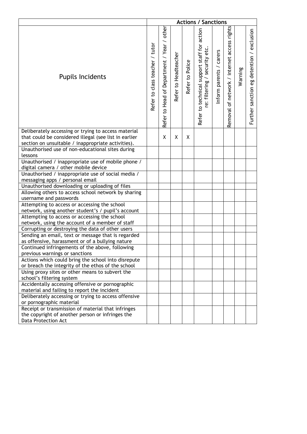|                                                                                                                                                                                                                        |                                |                                            |                      |                 | <b>Actions / Sanctions</b>                                                     |                         |                                             |         |                                           |
|------------------------------------------------------------------------------------------------------------------------------------------------------------------------------------------------------------------------|--------------------------------|--------------------------------------------|----------------------|-----------------|--------------------------------------------------------------------------------|-------------------------|---------------------------------------------|---------|-------------------------------------------|
| <b>Pupils Incidents</b>                                                                                                                                                                                                | Refer to class teacher / tutor | Refer to Head of Department / Year / other | Refer to Headteacher | Refer to Police | Refer to technical support staff for action<br>/ security etc.<br>e: filtering | Inform parents / carers | Removal of network / internet access rights | Warning | Further sanction eg detention / exclusion |
| Deliberately accessing or trying to access material<br>that could be considered illegal (see list in earlier<br>section on unsuitable / inappropriate activities).<br>Unauthorised use of non-educational sites during |                                | X                                          | X                    | Χ               |                                                                                |                         |                                             |         |                                           |
| lessons<br>Unauthorised / inappropriate use of mobile phone /                                                                                                                                                          |                                |                                            |                      |                 |                                                                                |                         |                                             |         |                                           |
| digital camera / other mobile device                                                                                                                                                                                   |                                |                                            |                      |                 |                                                                                |                         |                                             |         |                                           |
| Unauthorised / inappropriate use of social media /<br>messaging apps / personal email                                                                                                                                  |                                |                                            |                      |                 |                                                                                |                         |                                             |         |                                           |
| Unauthorised downloading or uploading of files                                                                                                                                                                         |                                |                                            |                      |                 |                                                                                |                         |                                             |         |                                           |
| Allowing others to access school network by sharing<br>username and passwords                                                                                                                                          |                                |                                            |                      |                 |                                                                                |                         |                                             |         |                                           |
| Attempting to access or accessing the school                                                                                                                                                                           |                                |                                            |                      |                 |                                                                                |                         |                                             |         |                                           |
| network, using another student's / pupil's account<br>Attempting to access or accessing the school                                                                                                                     |                                |                                            |                      |                 |                                                                                |                         |                                             |         |                                           |
| network, using the account of a member of staff                                                                                                                                                                        |                                |                                            |                      |                 |                                                                                |                         |                                             |         |                                           |
| Corrupting or destroying the data of other users                                                                                                                                                                       |                                |                                            |                      |                 |                                                                                |                         |                                             |         |                                           |
| Sending an email, text or message that is regarded                                                                                                                                                                     |                                |                                            |                      |                 |                                                                                |                         |                                             |         |                                           |
| as offensive, harassment or of a bullying nature<br>Continued infringements of the above, following                                                                                                                    |                                |                                            |                      |                 |                                                                                |                         |                                             |         |                                           |
| previous warnings or sanctions                                                                                                                                                                                         |                                |                                            |                      |                 |                                                                                |                         |                                             |         |                                           |
| Actions which could bring the school into disrepute                                                                                                                                                                    |                                |                                            |                      |                 |                                                                                |                         |                                             |         |                                           |
| or breach the integrity of the ethos of the school                                                                                                                                                                     |                                |                                            |                      |                 |                                                                                |                         |                                             |         |                                           |
| Using proxy sites or other means to subvert the                                                                                                                                                                        |                                |                                            |                      |                 |                                                                                |                         |                                             |         |                                           |
| school's filtering system                                                                                                                                                                                              |                                |                                            |                      |                 |                                                                                |                         |                                             |         |                                           |
| Accidentally accessing offensive or pornographic<br>material and failing to report the incident                                                                                                                        |                                |                                            |                      |                 |                                                                                |                         |                                             |         |                                           |
| Deliberately accessing or trying to access offensive                                                                                                                                                                   |                                |                                            |                      |                 |                                                                                |                         |                                             |         |                                           |
| or pornographic material                                                                                                                                                                                               |                                |                                            |                      |                 |                                                                                |                         |                                             |         |                                           |
| Receipt or transmission of material that infringes                                                                                                                                                                     |                                |                                            |                      |                 |                                                                                |                         |                                             |         |                                           |
| the copyright of another person or infringes the                                                                                                                                                                       |                                |                                            |                      |                 |                                                                                |                         |                                             |         |                                           |
| Data Protection Act                                                                                                                                                                                                    |                                |                                            |                      |                 |                                                                                |                         |                                             |         |                                           |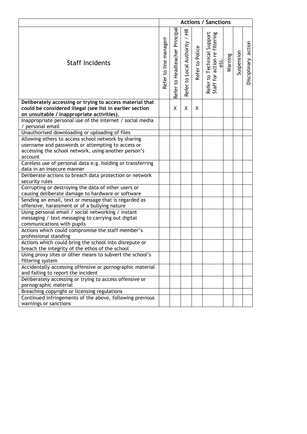|                                                                                                        | <b>Actions / Sanctions</b> |                                |                               |                 |                                                                                  |         |            |                     |
|--------------------------------------------------------------------------------------------------------|----------------------------|--------------------------------|-------------------------------|-----------------|----------------------------------------------------------------------------------|---------|------------|---------------------|
| <b>Staff Incidents</b>                                                                                 | Refer to line managerr     | Refer to Headteacher Principal | 뚠<br>Refer to Local Authority | Refer to Police | Refer to Technical Support<br>Staff for action re filtering<br>filtering<br>etc. | Warning | Suspension | Disciplinary action |
| Deliberately accessing or trying to access material that                                               |                            |                                |                               |                 |                                                                                  |         |            |                     |
| could be considered illegal (see list in earlier section                                               |                            | X                              | X                             | X               |                                                                                  |         |            |                     |
| on unsuitable / inappropriate activities).                                                             |                            |                                |                               |                 |                                                                                  |         |            |                     |
| Inappropriate personal use of the internet / social media<br>/ personal email                          |                            |                                |                               |                 |                                                                                  |         |            |                     |
| Unauthorised downloading or uploading of files                                                         |                            |                                |                               |                 |                                                                                  |         |            |                     |
| Allowing others to access school network by sharing                                                    |                            |                                |                               |                 |                                                                                  |         |            |                     |
| username and passwords or attempting to access or                                                      |                            |                                |                               |                 |                                                                                  |         |            |                     |
| accessing the school network, using another person's                                                   |                            |                                |                               |                 |                                                                                  |         |            |                     |
| account                                                                                                |                            |                                |                               |                 |                                                                                  |         |            |                     |
| Careless use of personal data e.g. holding or transferring                                             |                            |                                |                               |                 |                                                                                  |         |            |                     |
| data in an insecure manner                                                                             |                            |                                |                               |                 |                                                                                  |         |            |                     |
| Deliberate actions to breach data protection or network                                                |                            |                                |                               |                 |                                                                                  |         |            |                     |
| security rules                                                                                         |                            |                                |                               |                 |                                                                                  |         |            |                     |
| Corrupting or destroying the data of other users or                                                    |                            |                                |                               |                 |                                                                                  |         |            |                     |
| causing deliberate damage to hardware or software                                                      |                            |                                |                               |                 |                                                                                  |         |            |                     |
| Sending an email, text or message that is regarded as<br>offensive, harassment or of a bullying nature |                            |                                |                               |                 |                                                                                  |         |            |                     |
| Using personal email / social networking / instant                                                     |                            |                                |                               |                 |                                                                                  |         |            |                     |
| messaging / text messaging to carrying out digital                                                     |                            |                                |                               |                 |                                                                                  |         |            |                     |
| communications with pupils                                                                             |                            |                                |                               |                 |                                                                                  |         |            |                     |
| Actions which could compromise the staff member's<br>professional standing                             |                            |                                |                               |                 |                                                                                  |         |            |                     |
| Actions which could bring the school into disrepute or                                                 |                            |                                |                               |                 |                                                                                  |         |            |                     |
| breach the integrity of the ethos of the school                                                        |                            |                                |                               |                 |                                                                                  |         |            |                     |
| Using proxy sites or other means to subvert the school's                                               |                            |                                |                               |                 |                                                                                  |         |            |                     |
| filtering system                                                                                       |                            |                                |                               |                 |                                                                                  |         |            |                     |
| Accidentally accessing offensive or pornographic material                                              |                            |                                |                               |                 |                                                                                  |         |            |                     |
| and failing to report the incident                                                                     |                            |                                |                               |                 |                                                                                  |         |            |                     |
| Deliberately accessing or trying to access offensive or                                                |                            |                                |                               |                 |                                                                                  |         |            |                     |
| pornographic material                                                                                  |                            |                                |                               |                 |                                                                                  |         |            |                     |
| Breaching copyright or licensing regulations                                                           |                            |                                |                               |                 |                                                                                  |         |            |                     |
| Continued infringements of the above, following previous                                               |                            |                                |                               |                 |                                                                                  |         |            |                     |
| warnings or sanctions                                                                                  |                            |                                |                               |                 |                                                                                  |         |            |                     |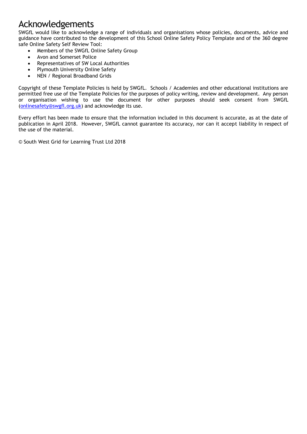### Acknowledgements

SWGfL would like to acknowledge a range of individuals and organisations whose policies, documents, advice and guidance have contributed to the development of this School Online Safety Policy Template and of the 360 degree safe Online Safety Self Review Tool:

- Members of the SWGfL Online Safety Group
- Avon and Somerset Police
- Representatives of SW Local Authorities
- Plymouth University Online Safety
- NEN / Regional Broadband Grids

Copyright of these Template Policies is held by SWGfL. Schools / Academies and other educational institutions are permitted free use of the Template Policies for the purposes of policy writing, review and development. Any person or organisation wishing to use the document for other purposes should seek consent from SWGfL [\(onlinesafety@swgfl.org.uk\)](mailto:onlinesafety@swgfl.org.uk) and acknowledge its use.

Every effort has been made to ensure that the information included in this document is accurate, as at the date of publication in April 2018. However, SWGfL cannot guarantee its accuracy, nor can it accept liability in respect of the use of the material.

© South West Grid for Learning Trust Ltd 2018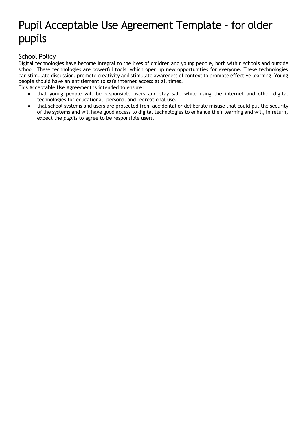# Pupil Acceptable Use Agreement Template – for older pupils

### School Policy

Digital technologies have become integral to the lives of children and young people, both within schools and outside school. These technologies are powerful tools, which open up new opportunities for everyone. These technologies can stimulate discussion, promote creativity and stimulate awareness of context to promote effective learning. Young people should have an entitlement to safe internet access at all times.

This Acceptable Use Agreement is intended to ensure:

- that young people will be responsible users and stay safe while using the internet and other digital technologies for educational, personal and recreational use.
- that school systems and users are protected from accidental or deliberate misuse that could put the security of the systems and will have good access to digital technologies to enhance their learning and will, in return, expect the *pupils* to agree to be responsible users.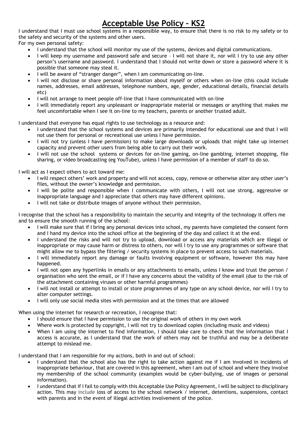### **Acceptable Use Policy – KS2**

I understand that I must use school systems in a responsible way, to ensure that there is no risk to my safety or to the safety and security of the systems and other users.

For my own personal safety:

- I understand that the school will monitor my use of the systems, devices and digital communications.
- I will keep my username and password safe and secure I will not share it, nor will I try to use any other person's username and password. I understand that I should not write down or store a password where it is possible that someone may steal it.
- I will be aware of "stranger danger", when I am communicating on-line.
- I will not disclose or share personal information about myself or others when on-line (this could include names, addresses, email addresses, telephone numbers, age, gender, educational details, financial details etc)
- I will not arrange to meet people off-line that I have communicated with on-line
- I will immediately report any unpleasant or inappropriate material or messages or anything that makes me feel uncomfortable when I see it on-line to my teachers, parents or another trusted adult.

I understand that everyone has equal rights to use technology as a resource and:

- I understand that the school systems and devices are primarily intended for educational use and that I will not use them for personal or recreational use unless I have permission.
- I will not try (unless I have permission) to make large downloads or uploads that might take up internet capacity and prevent other users from being able to carry out their work.
- I will not use the school systems or devices for on-line gaming, on-line gambling, internet shopping, file sharing, or video broadcasting (eg YouTube), unless I have permission of a member of staff to do so.

I will act as I expect others to act toward me:

- I will respect others' work and property and will not access, copy, remove or otherwise alter any other user's files, without the owner's knowledge and permission.
- I will be polite and responsible when I communicate with others, I will not use strong, aggressive or inappropriate language and I appreciate that others may have different opinions.
- I will not take or distribute images of anyone without their permission.

I recognise that the school has a responsibility to maintain the security and integrity of the technology it offers me and to ensure the smooth running of the school:

- I will make sure that if I bring any personal devices into school, my parents have completed the consent form and I hand my device into the school office at the beginning of the day and collect it at the end.
- I understand the risks and will not try to upload, download or access any materials which are illegal or inappropriate or may cause harm or distress to others, nor will I try to use any programmes or software that might allow me to bypass the filtering / security systems in place to prevent access to such materials.
- I will immediately report any damage or faults involving equipment or software, however this may have happened.
- I will not open any hyperlinks in emails or any attachments to emails, unless I know and trust the person / organisation who sent the email, or if I have any concerns about the validity of the email (due to the risk of the attachment containing viruses or other harmful programmes)
- I will not install or attempt to install or store programmes of any type on any school device, nor will I try to alter computer settings.
- I will only use social media sites with permission and at the times that are allowed

When using the internet for research or recreation, I recognise that:

- I should ensure that I have permission to use the original work of others in my own work
- Where work is protected by copyright, I will not try to download copies (including music and videos)
- When I am using the internet to find information, I should take care to check that the information that I access is accurate, as I understand that the work of others may not be truthful and may be a deliberate attempt to mislead me.

I understand that I am responsible for my actions, both in and out of school:

- I understand that the school also has the right to take action against me if I am involved in incidents of inappropriate behaviour, that are covered in this agreement, when I am out of school and where they involve my membership of the school community (examples would be cyber-bullying, use of images or personal information).
- I understand that if I fail to comply with this Acceptable Use Policy Agreement, I will be subject to disciplinary action. This may include loss of access to the school network / internet, detentions, suspensions, contact with parents and in the event of illegal activities involvement of the police.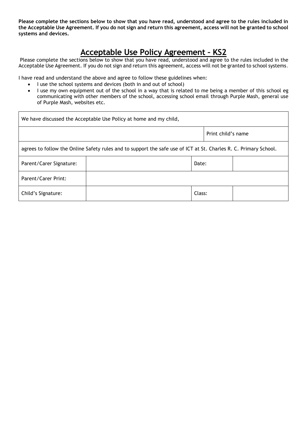**Please complete the sections below to show that you have read, understood and agree to the rules included in the Acceptable Use Agreement. If you do not sign and return this agreement, access will not be granted to school systems and devices.**

### **Acceptable Use Policy Agreement – KS2**

Please complete the sections below to show that you have read, understood and agree to the rules included in the Acceptable Use Agreement. If you do not sign and return this agreement, access will not be granted to school systems.

I have read and understand the above and agree to follow these guidelines when:

- I use the school systems and devices (both in and out of school)
- I use my own equipment out of the school in a way that is related to me being a member of this school eg communicating with other members of the school, accessing school email through Purple Mash, general use of Purple Mash, websites etc.

| We have discussed the Acceptable Use Policy at home and my child,                                                |  |        |                    |  |  |
|------------------------------------------------------------------------------------------------------------------|--|--------|--------------------|--|--|
|                                                                                                                  |  |        | Print child's name |  |  |
| agrees to follow the Online Safety rules and to support the safe use of ICT at St. Charles R. C. Primary School. |  |        |                    |  |  |
| Parent/Carer Signature:                                                                                          |  | Date:  |                    |  |  |
| <b>Parent/Carer Print:</b>                                                                                       |  |        |                    |  |  |
| Child's Signature:                                                                                               |  | Class: |                    |  |  |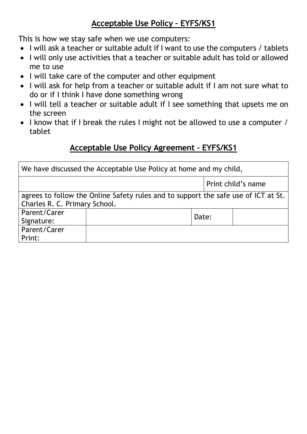### **Acceptable Use Policy – EYFS/KS1**

This is how we stay safe when we use computers:

- I will ask a teacher or suitable adult if I want to use the computers / tablets
- I will only use activities that a teacher or suitable adult has told or allowed me to use
- I will take care of the computer and other equipment
- I will ask for help from a teacher or suitable adult if I am not sure what to do or if I think I have done something wrong
- I will tell a teacher or suitable adult if I see something that upsets me on the screen
- I know that if I break the rules I might not be allowed to use a computer / tablet

### **Acceptable Use Policy Agreement – EYFS/KS1**

| We have discussed the Acceptable Use Policy at home and my child, |                                                                                    |       |  |                    |  |
|-------------------------------------------------------------------|------------------------------------------------------------------------------------|-------|--|--------------------|--|
|                                                                   |                                                                                    |       |  | Print child's name |  |
|                                                                   | agrees to follow the Online Safety rules and to support the safe use of ICT at St. |       |  |                    |  |
| Charles R. C. Primary School.                                     |                                                                                    |       |  |                    |  |
| Parent/Carer                                                      |                                                                                    |       |  |                    |  |
| Signature:                                                        |                                                                                    | Date: |  |                    |  |
| Parent/Carer                                                      |                                                                                    |       |  |                    |  |
| Print:                                                            |                                                                                    |       |  |                    |  |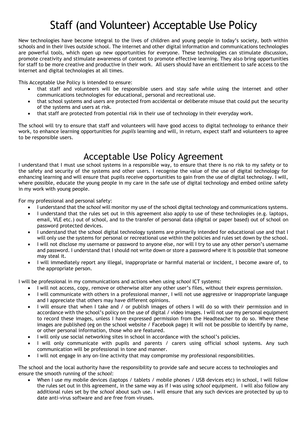# Staff (and Volunteer) Acceptable Use Policy

New technologies have become integral to the lives of children and young people in today's society, both within schools and in their lives outside school. The internet and other digital information and communications technologies are powerful tools, which open up new opportunities for everyone. These technologies can stimulate discussion, promote creativity and stimulate awareness of context to promote effective learning. They also bring opportunities for staff to be more creative and productive in their work. All users should have an entitlement to safe access to the internet and digital technologies at all times.

This Acceptable Use Policy is intended to ensure:

- that staff and volunteers will be responsible users and stay safe while using the internet and other communications technologies for educational, personal and recreational use.
- that school systems and users are protected from accidental or deliberate misuse that could put the security of the systems and users at risk.
- that staff are protected from potential risk in their use of technology in their everyday work.

The school will try to ensure that staff and volunteers will have good access to digital technology to enhance their work, to enhance learning opportunities for *pupils* learning and will, in return, expect staff and volunteers to agree to be responsible users.

### Acceptable Use Policy Agreement

I understand that I must use school systems in a responsible way, to ensure that there is no risk to my safety or to the safety and security of the systems and other users. I recognise the value of the use of digital technology for enhancing learning and will ensure that pupils receive opportunities to gain from the use of digital technology. I will, where possible, educate the young people in my care in the safe use of digital technology and embed online safety in my work with young people.

For my professional and personal safety:

- I understand that the *school* will monitor my use of the school digital technology and communications systems.
- I understand that the rules set out in this agreement also apply to use of these technologies (e.g. laptops, email, VLE etc.) out of school, and to the transfer of personal data (digital or paper based) out of school on password protected devices.
- I understand that the school digital technology systems are primarily intended for educational use and that I will only use the systems for personal or recreational use within the policies and rules set down by the school.
- I will not disclose my username or password to anyone else, nor will I try to use any other person's username and password. I understand that I should not write down or store a password where it is possible that someone may steal it.
- I will immediately report any illegal, inappropriate or harmful material or incident, I become aware of, to the appropriate person.

I will be professional in my communications and actions when using *school* ICT systems:

- I will not access, copy, remove or otherwise alter any other user's files, without their express permission.
- I will communicate with others in a professional manner, I will not use aggressive or inappropriate language and I appreciate that others may have different opinions.
- I will ensure that when I take and / or publish images of others I will do so with their permission and in accordance with the school's policy on the use of digital / video images. I will not use my personal equipment to record these images, unless I have expressed permission from the Headteacher to do so. Where these images are published (eg on the school website / Facebook page) it will not be possible to identify by name, or other personal information, those who are featured.
- I will only use social networking sites in school in accordance with the school's policies.
- I will only communicate with pupils and parents / carers using official school systems. Any such communication will be professional in tone and manner.
- I will not engage in any on-line activity that may compromise my professional responsibilities.

The school and the local authority have the responsibility to provide safe and secure access to technologies and ensure the smooth running of the *school*:

When I use my mobile devices (laptops / tablets / mobile phones / USB devices etc) in school, I will follow the rules set out in this agreement, in the same way as if I was using *school* equipment. I will also follow any additional rules set by the *school* about such use. I will ensure that any such devices are protected by up to date anti-virus software and are free from viruses.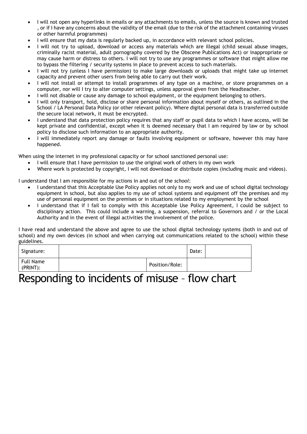- I will not open any hyperlinks in emails or any attachments to emails, unless the source is known and trusted , or if I have any concerns about the validity of the email (due to the risk of the attachment containing viruses or other harmful programmes)
- I will ensure that my data is regularly backed up, in accordance with relevant school policies.
- I will not try to upload, download or access any materials which are illegal (child sexual abuse images, criminally racist material, adult pornography covered by the Obscene Publications Act) or inappropriate or may cause harm or distress to others. I will not try to use any programmes or software that might allow me to bypass the filtering / security systems in place to prevent access to such materials.
- I will not try (unless I have permission) to make large downloads or uploads that might take up internet capacity and prevent other users from being able to carry out their work.
- I will not install or attempt to install programmes of any type on a machine, or store programmes on a computer, nor will I try to alter computer settings, unless approval given from the Headteacher.
- I will not disable or cause any damage to school equipment, or the equipment belonging to others.
- I will only transport, hold, disclose or share personal information about myself or others, as outlined in the School / LA Personal Data Policy (or other relevant policy). Where digital personal data is transferred outside the secure local network, it must be encrypted.
- I understand that data protection policy requires that any staff or pupil data to which I have access, will be kept private and confidential, except when it is deemed necessary that I am required by law or by school policy to disclose such information to an appropriate authority.
- I will immediately report any damage or faults involving equipment or software, however this may have happened.

When using the internet in my professional capacity or for school sanctioned personal use:

- I will ensure that I have permission to use the original work of others in my own work
- Where work is protected by copyright, I will not download or distribute copies (including music and videos).

I understand that I am responsible for my actions in and out of the *school*:

- I understand that this Acceptable Use Policy applies not only to my work and use of school digital technology equipment in school, but also applies to my use of school systems and equipment off the premises and my use of personal equipment on the premises or in situations related to my employment by the school
- I understand that if I fail to comply with this Acceptable Use Policy Agreement, I could be subject to disciplinary action. This could include a warning, a suspension, referral to Governors and / or the Local Authority and in the event of illegal activities the involvement of the police.

I have read and understand the above and agree to use the school digital technology systems (both in and out of school) and my own devices (in school and when carrying out communications related to the school) within these guidelines.

| Signature:                   |                | Date: |  |
|------------------------------|----------------|-------|--|
| <b>Full Name</b><br>(PRINT): | Position/Role: |       |  |

## Responding to incidents of misuse – flow chart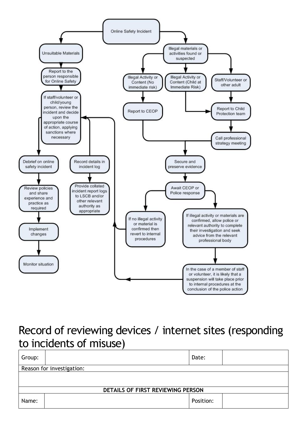

## Record of reviewing devices / internet sites (responding to incidents of misuse)

| Group:                    |                                   | Date:     |  |  |  |
|---------------------------|-----------------------------------|-----------|--|--|--|
| Reason for investigation: |                                   |           |  |  |  |
|                           |                                   |           |  |  |  |
|                           | DETAILS OF FIRST REVIEWING PERSON |           |  |  |  |
| Name:                     |                                   | Position: |  |  |  |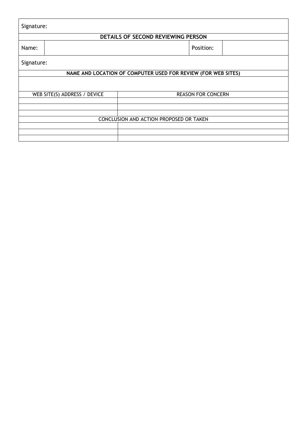| Signature:                              |                              |                                                               |  |  |  |  |
|-----------------------------------------|------------------------------|---------------------------------------------------------------|--|--|--|--|
|                                         |                              | DETAILS OF SECOND REVIEWING PERSON                            |  |  |  |  |
| Name:                                   |                              | Position:                                                     |  |  |  |  |
|                                         | Signature:                   |                                                               |  |  |  |  |
|                                         |                              | NAME AND LOCATION OF COMPUTER USED FOR REVIEW (FOR WEB SITES) |  |  |  |  |
|                                         |                              |                                                               |  |  |  |  |
|                                         | WEB SITE(S) ADDRESS / DEVICE | <b>REASON FOR CONCERN</b>                                     |  |  |  |  |
|                                         |                              |                                                               |  |  |  |  |
|                                         |                              |                                                               |  |  |  |  |
|                                         |                              |                                                               |  |  |  |  |
| CONCLUSION AND ACTION PROPOSED OR TAKEN |                              |                                                               |  |  |  |  |
|                                         |                              |                                                               |  |  |  |  |
|                                         |                              |                                                               |  |  |  |  |
|                                         |                              |                                                               |  |  |  |  |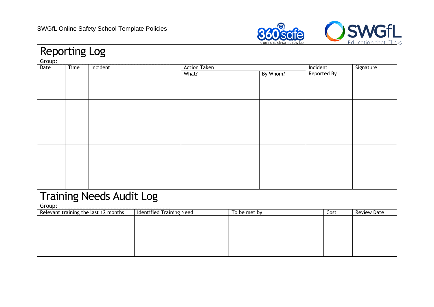



| <b>Reporting Log</b>                                                              |  |                                 |                     |              |  |                         |          |                    |           |
|-----------------------------------------------------------------------------------|--|---------------------------------|---------------------|--------------|--|-------------------------|----------|--------------------|-----------|
| Group:<br>Time<br><b>Date</b><br>Incident                                         |  |                                 | <b>Action Taken</b> |              |  |                         | Incident |                    | Signature |
|                                                                                   |  |                                 |                     | What?        |  | Reported By<br>By Whom? |          |                    |           |
|                                                                                   |  |                                 |                     |              |  |                         |          |                    |           |
|                                                                                   |  |                                 |                     |              |  |                         |          |                    |           |
|                                                                                   |  |                                 |                     |              |  |                         |          |                    |           |
|                                                                                   |  |                                 |                     |              |  |                         |          |                    |           |
|                                                                                   |  |                                 |                     |              |  |                         |          |                    |           |
|                                                                                   |  |                                 |                     |              |  |                         |          |                    |           |
|                                                                                   |  |                                 |                     |              |  |                         |          |                    |           |
|                                                                                   |  |                                 |                     |              |  |                         |          |                    |           |
|                                                                                   |  |                                 |                     |              |  |                         |          |                    |           |
|                                                                                   |  |                                 |                     |              |  |                         |          |                    |           |
|                                                                                   |  |                                 |                     |              |  |                         |          |                    |           |
|                                                                                   |  |                                 |                     |              |  |                         |          |                    |           |
|                                                                                   |  |                                 |                     |              |  |                         |          |                    |           |
|                                                                                   |  |                                 |                     |              |  |                         |          |                    |           |
|                                                                                   |  | <b>Training Needs Audit Log</b> |                     |              |  |                         |          |                    |           |
|                                                                                   |  |                                 |                     |              |  |                         |          |                    |           |
| Group:<br>Relevant training the last 12 months<br><b>Identified Training Need</b> |  |                                 |                     | To be met by |  |                         | Cost     | <b>Review Date</b> |           |
|                                                                                   |  |                                 |                     |              |  |                         |          |                    |           |
|                                                                                   |  |                                 |                     |              |  |                         |          |                    |           |
|                                                                                   |  |                                 |                     |              |  |                         |          |                    |           |
|                                                                                   |  |                                 |                     |              |  |                         |          |                    |           |
|                                                                                   |  |                                 |                     |              |  |                         |          |                    |           |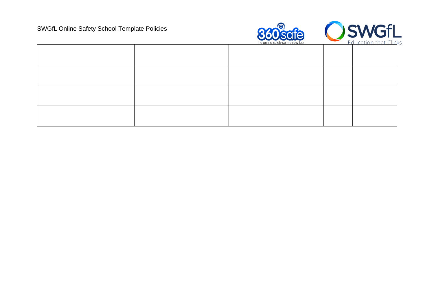SWGfL Online Safety School Template Policies



|  | THE OFFICE SUICTY SEIL EVIEW TOOL | <u>Euutativii tiidt Ciitiv</u> |
|--|-----------------------------------|--------------------------------|
|  |                                   |                                |
|  |                                   |                                |
|  |                                   |                                |
|  |                                   |                                |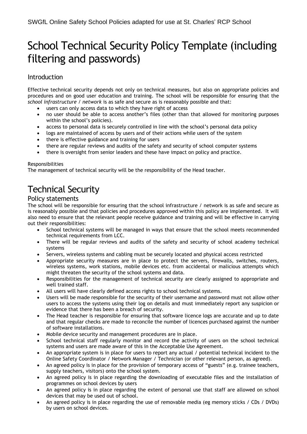# School Technical Security Policy Template (including filtering and passwords)

### Introduction

Effective technical security depends not only on technical measures, but also on appropriate policies and procedures and on good user education and training. The school will be responsible for ensuring that the *school infrastructure / network* is as safe and secure as is reasonably possible and that:

- users can only access data to which they have right of access
- no user should be able to access another's files (other than that allowed for monitoring purposes within the school's policies).
- access to personal data is securely controlled in line with the school's personal data policy
- logs are maintained of access by users and of their actions while users of the system
- there is effective guidance and training for users
- there are regular reviews and audits of the safety and security of school computer systems
- there is oversight from senior leaders and these have impact on policy and practice.

#### Responsibilities

The management of technical security will be the responsibility of the Head teacher.

## Technical Security

#### Policy statements

The school will be responsible for ensuring that the school infrastructure / network is as safe and secure as is reasonably possible and that policies and procedures approved within this policy are implemented. It will also need to ensure that the relevant people receive guidance and training and will be effective in carrying out their responsibilities:

- School technical systems will be managed in ways that ensure that the school meets recommended technical requirements from LCC.
- There will be regular reviews and audits of the safety and security of school academy technical systems
- Servers, wireless systems and cabling must be securely located and physical access restricted
- Appropriate security measures are in place to protect the servers, firewalls, switches, routers, wireless systems, work stations, mobile devices etc. from accidental or malicious attempts which might threaten the security of the school systems and data.
- Responsibilities for the management of technical security are clearly assigned to appropriate and well trained staff.
- All users will have clearly defined access rights to school technical systems.
- Users will be made responsible for the security of their username and password must not allow other users to access the systems using their log on details and must immediately report any suspicion or evidence that there has been a breach of security.
- The Head teacher is responsible for ensuring that software licence logs are accurate and up to date and that regular checks are made to reconcile the number of licences purchased against the number of software installations.
- Mobile device security and management procedures are in place.
- School technical staff regularly monitor and record the activity of users on the school technical systems and users are made aware of this in the Acceptable Use Agreement.
- An appropriate system is in place for users to report any actual / potential technical incident to the Online Safety Coordinator / Network Manager / Technician (or other relevant person, as agreed).
- An agreed policy is in place for the provision of temporary access of "guests" (e.g. trainee teachers, supply teachers, visitors) onto the school system.
- An agreed policy is in place regarding the downloading of executable files and the installation of programmes on school devices by users
- An agreed policy is in place regarding the extent of personal use that staff are allowed on school devices that may be used out of school.
- An agreed policy is in place regarding the use of removable media (eg memory sticks / CDs / DVDs) by users on school devices.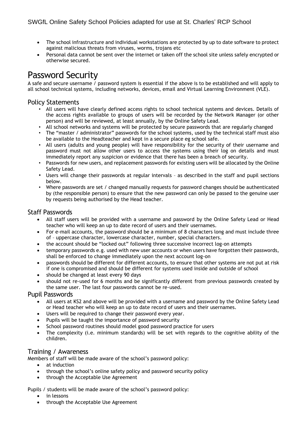- The school infrastructure and individual workstations are protected by up to date software to protect against malicious threats from viruses, worms, trojans etc
- Personal data cannot be sent over the internet or taken off the school site unless safely encrypted or otherwise secured.

### Password Security

A safe and secure username / password system is essential if the above is to be established and will apply to all school technical systems, including networks, devices, email and Virtual Learning Environment (VLE).

### Policy Statements

- All users will have clearly defined access rights to school technical systems and devices. Details of the access rights available to groups of users will be recorded by the Network Manager (or other person) and will be reviewed, at least annually, by the Online Safety Lead.
- All school networks and systems will be protected by secure passwords that are regularly changed
- The "master / administrator" passwords for the school systems, used by the technical staff must also be available to the Headteacher and kept in a secure place eg school safe.
- All users (adults and young people) will have responsibility for the security of their username and password must not allow other users to access the systems using their log on details and must immediately report any suspicion or evidence that there has been a breach of security.
- Passwords for new users, and replacement passwords for existing users will be allocated by the Online Safety Lead.
- Users will change their passwords at regular intervals as described in the staff and pupil sections below.
- Where passwords are set / changed manually requests for password changes should be authenticated by (the responsible person) to ensure that the new password can only be passed to the genuine user by requests being authorised by the Head teacher.

### Staff Passwords

- All staff users will be provided with a username and password by the Online Safety Lead or Head teacher who will keep an up to date record of users and their usernames.
- For e-mail accounts, the password should be a minimum of 8 characters long and must include three of – uppercase character, lowercase character, number, special characters.
- the account should be "locked out" following three successive incorrect log-on attempts
- temporary passwords e.g. used with new user accounts or when users have forgotten their passwords, shall be enforced to change immediately upon the next account log-on
- passwords should be different for different accounts, to ensure that other systems are not put at risk if one is compromised and should be different for systems used inside and outside of school
- should be changed at least every 90 days
- should not re-used for 6 months and be significantly different from previous passwords created by the same user. The last four passwords cannot be re-used.

### Pupil Passwords

- All users at KS2 and above will be provided with a username and password by the Online Safety Lead or Head teacher who will keep an up to date record of users and their usernames.
- Users will be required to change their password every year.
- Pupils will be taught the importance of password security
- School password routines should model good password practice for users
- The complexity (i.e. minimum standards) will be set with regards to the cognitive ability of the children.

### Training / Awareness

Members of staff will be made aware of the school's password policy:

- at induction
- through the school's online safety policy and password security policy
- through the Acceptable Use Agreement

Pupils / students will be made aware of the school's password policy:

- in lessons
- through the Acceptable Use Agreement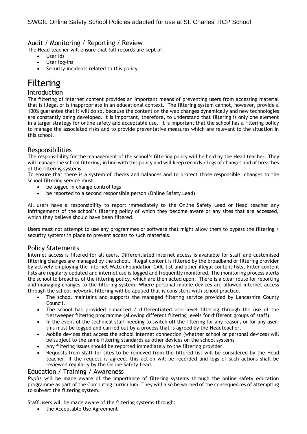### Audit / Monitoring / Reporting / Review

The Head teacher will ensure that full records are kept of:

- User Ids
- User log-ins
- Security incidents related to this policy

### Filtering

#### Introduction

The filtering of internet content provides an important means of preventing users from accessing material that is illegal or is inappropriate in an educational context. The filtering system cannot, however, provide a 100% guarantee that it will do so, because the content on the web changes dynamically and new technologies are constantly being developed. It is important, therefore, to understand that filtering is only one element in a larger strategy for online safety and acceptable use. It is important that the school has a filtering policy to manage the associated risks and to provide preventative measures which are relevant to the situation in this school.

### Responsibilities

The responsibility for the management of the school's filtering policy will be held by the Head teacher. They will manage the school filtering, in line with this policy and will keep records / logs of changes and of breaches of the filtering systems.

To ensure that there is a system of checks and balances and to protect those responsible, changes to the school filtering service must:

- be logged in change control logs
- be reported to a second responsible person (Online Safety Lead)

All users have a responsibility to report immediately to the Online Safety Lead or Head teacher any infringements of the school's filtering policy of which they become aware or any sites that are accessed, which they believe should have been filtered.

Users must not attempt to use any programmes or software that might allow them to bypass the filtering / security systems in place to prevent access to such materials.

### Policy Statements

Internet access is filtered for all users. Differentiated internet access is available for staff and customised filtering changes are managed by the school. Illegal content is filtered by the broadband or filtering provider by actively employing the Internet Watch Foundation CAIC list and other illegal content lists. Filter content lists are regularly updated and internet use is logged and frequently monitored. The monitoring process alerts the school to breaches of the filtering policy, which are then acted upon. There is a clear route for reporting and managing changes to the filtering system. Where personal mobile devices are allowed internet access through the school network, filtering will be applied that is consistent with school practice.

- The school maintains and supports the managed filtering service provided by Lancashire County Council.
- The school has provided enhanced / differentiated user-level filtering through the use of the Netsweeper filtering programme (allowing different filtering levels for different groups of staff).
- In the event of the technical staff needing to switch off the filtering for any reason, or for any user, this must be logged and carried out by a process that is agreed by the Headteacher.
- Mobile devices that access the school internet connection (whether school or personal devices) will be subject to the same filtering standards as other devices on the school systems
- Any filtering issues should be reported immediately to the filtering provider.
- Requests from staff for sites to be removed from the filtered list will be considered by the Head teacher. If the request is agreed, this action will be recorded and logs of such actions shall be reviewed regularly by the Online Safety Lead.

#### Education / Training / Awareness

*Pupils* will be made aware of the importance of filtering systems through the online safety education programme as part of the Computing curriculum. They will also be warned of the consequences of attempting to subvert the filtering system.

Staff users will be made aware of the filtering systems through:

• the Acceptable Use Agreement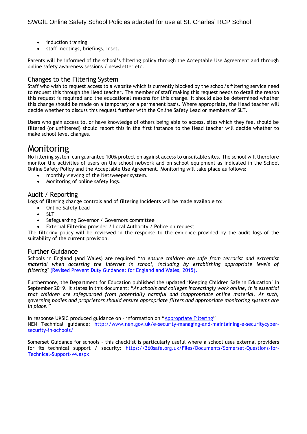- induction training
- staff meetings, briefings, Inset.

Parents will be informed of the school's filtering policy through the Acceptable Use Agreement and through online safety awareness sessions / newsletter etc.

#### Changes to the Filtering System

Staff who wish to request access to a website which is currently blocked by the school's filtering service need to request this through the Head teacher. The member of staff making this request needs to detail the reason this request is required and the educational reasons for this change. It should also be determined whether this change should be made on a temporary or a permanent basis. Where appropriate, the Head teacher will decide whether to discuss this request further with the Online Safety Lead or members of SLT.

Users who gain access to, or have knowledge of others being able to access, sites which they feel should be filtered (or unfiltered) should report this in the first instance to the Head teacher will decide whether to make school level changes.

### Monitoring

No filtering system can guarantee 100% protection against access to unsuitable sites. The school will therefore monitor the activities of users on the school network and on school equipment as indicated in the School Online Safety Policy and the Acceptable Use Agreement. Monitoring will take place as follows:

- monthly viewing of the Netsweeper system.
- Monitoring of online safety logs.

#### Audit / Reporting

Logs of filtering change controls and of filtering incidents will be made available to:

- Online Safety Lead
- SLT
- Safeguarding Governor / Governors committee
- External Filtering provider / Local Authority / Police on request

The filtering policy will be reviewed in the response to the evidence provided by the audit logs of the suitability of the current provision.

#### Further Guidance

Schools in England (and Wales) are required *"to ensure children are safe from terrorist and extremist material when accessing the internet in school, including by establishing appropriate levels of filtering"* [\(Revised Prevent Duty Guidance: for England and Wales, 2015\)](https://www.gov.uk/government/uploads/system/uploads/attachment_data/file/445977/3799_Revised_Prevent_Duty_Guidance__England_Wales_V2-Interactive.pdf).

Furthermore, the Department for Education published the updated 'Keeping Children Safe in Education' in September 2019. It states in this document: "*As schools and colleges increasingly work online, it is essential that children are safeguarded from potentially harmful and inappropriate online material. As such, governing bodies and proprietors should ensure appropriate filters and appropriate monitoring systems are in place."*

In response UKSIC produced guidance on – information on "[Appropriate Filtering](http://www.saferinternet.org.uk/advice-and-resources/teachers-and-professionals/appropriate-filtering-for-education-settings)" NEN Technical guidance: [http://www.nen.gov.uk/e-security-managing-and-maintaining-e-securitycyber](http://www.nen.gov.uk/e-security-managing-and-maintaining-e-securitycyber-security-in-schools/)[security-in-schools/](http://www.nen.gov.uk/e-security-managing-and-maintaining-e-securitycyber-security-in-schools/)

Somerset Guidance for schools – this checklist is particularly useful where a school uses external providers for its technical support / security: [https://360safe.org.uk/Files/Documents/Somerset-Questions-for-](https://360safe.org.uk/Files/Documents/Somerset-Questions-for-Technical-Support-v4.aspx)[Technical-Support-v4.aspx](https://360safe.org.uk/Files/Documents/Somerset-Questions-for-Technical-Support-v4.aspx)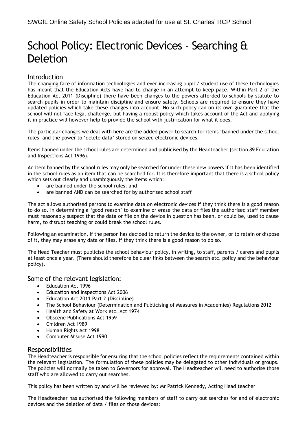# School Policy: Electronic Devices - Searching & Deletion

#### Introduction

The changing face of information technologies and ever increasing pupil / student use of these technologies has meant that the Education Acts have had to change in an attempt to keep pace. Within Part 2 of the Education Act 2011 (Discipline) there have been changes to the powers afforded to schools by statute to search pupils in order to maintain discipline and ensure safety. Schools are required to ensure they have updated policies which take these changes into account. No such policy can on its own guarantee that the school will not face legal challenge, but having a robust policy which takes account of the Act and applying it in practice will however help to provide the school with justification for what it does.

The particular changes we deal with here are the added power to search for items 'banned under the school rules' and the power to 'delete data' stored on seized electronic devices.

Items banned under the school rules are determined and publicised by the Headteacher (section 89 Education and Inspections Act 1996).

An item banned by the school rules may only be searched for under these new powers if it has been identified in the school rules as an item that can be searched for. It is therefore important that there is a school policy which sets out clearly and unambiguously the items which:

- are banned under the school rules; and
- are banned AND can be searched for by authorised school staff

The act allows authorised persons to examine data on electronic devices if they think there is a good reason to do so. In determining a 'good reason' to examine or erase the data or files the authorised staff member must reasonably suspect that the data or file on the device in question has been, or could be, used to cause harm, to disrupt teaching or could break the school rules.

Following an examination, if the person has decided to return the device to the owner, or to retain or dispose of it, they may erase any data or files, if they think there is a good reason to do so.

The Head Teacher must publicise the school behaviour policy, in writing, to staff, parents / carers and pupils at least once a year. (There should therefore be clear links between the search etc. policy and the behaviour policy).

#### Some of the relevant legislation:

- Education Act 1996
- Education and Inspections Act 2006
- Education Act 2011 Part 2 (Discipline)
- The School Behaviour (Determination and Publicising of Measures in Academies) Regulations 2012
- Health and Safety at Work etc. Act 1974
- Obscene Publications Act 1959
- Children Act 1989
- Human Rights Act 1998
- Computer Misuse Act 1990

#### Responsibilities

The Headteacher is responsible for ensuring that the school policies reflect the requirements contained within the relevant legislation. The formulation of these policies may be delegated to other individuals or groups. The policies will normally be taken to Governors for approval. The Headteacher will need to authorise those staff who are allowed to carry out searches.

This policy has been written by and will be reviewed by: Mr Patrick Kennedy, Acting Head teacher

The Headteacher has authorised the following members of staff to carry out searches for and of electronic devices and the deletion of data / files on those devices: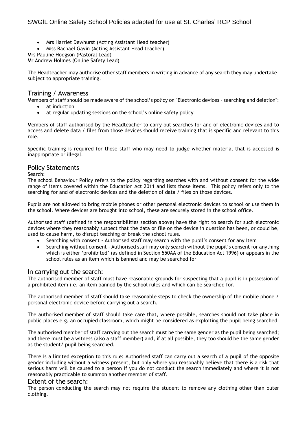- Mrs Harriet Dewhurst (Acting Assistant Head teacher)
- Miss Rachael Gavin (Acting Assistant Head teacher)

#### Mrs Pauline Hodgson (Pastoral Lead) Mr Andrew Holmes (Online Safety Lead)

The Headteacher may authorise other staff members in writing in advance of any search they may undertake, subject to appropriate training.

#### Training / Awareness

Members of staff should be made aware of the school's policy on "Electronic devices – searching and deletion":

- at induction
- at regular updating sessions on the school's online safety policy

Members of staff authorised by the Headteacher to carry out searches for and of electronic devices and to access and delete data / files from those devices should receive training that is specific and relevant to this role.

Specific training is required for those staff who may need to judge whether material that is accessed is inappropriate or illegal.

#### Policy Statements

Search:

The school Behaviour Policy refers to the policy regarding searches with and without consent for the wide range of items covered within the Education Act 2011 and lists those items. This policy refers only to the searching for and of electronic devices and the deletion of data / files on those devices.

Pupils are not allowed to bring mobile phones or other personal electronic devices to school or use them in the school. Where devices are brought into school, these are securely stored in the school office.

Authorised staff (defined in the responsibilities section above) have the right to search for such electronic devices where they reasonably suspect that the data or file on the device in question has been, or could be, used to cause harm, to disrupt teaching or break the school rules.

- Searching with consent Authorised staff may search with the pupil's consent for any item
- Searching without consent Authorised staff may only search without the pupil's consent for anything which is either 'prohibited' (as defined in Section 550AA of the Education Act 1996) or appears in the school rules as an item which is banned and may be searched for

#### In carrying out the search:

The authorised member of staff must have reasonable grounds for suspecting that a pupil is in possession of a prohibited item i.e. an item banned by the school rules and which can be searched for.

The authorised member of staff should take reasonable steps to check the ownership of the mobile phone / personal electronic device before carrying out a search.

The authorised member of staff should take care that, where possible, searches should not take place in public places e.g. an occupied classroom, which might be considered as exploiting the pupil being searched.

The authorised member of staff carrying out the search must be the same gender as the pupil being searched; and there must be a witness (also a staff member) and, if at all possible, they too should be the same gender as the student/ pupil being searched.

There is a limited exception to this rule: Authorised staff can carry out a search of a pupil of the opposite gender including without a witness present, but only where you reasonably believe that there is a risk that serious harm will be caused to a person if you do not conduct the search immediately and where it is not reasonably practicable to summon another member of staff.

#### Extent of the search:

The person conducting the search may not require the student to remove any clothing other than outer clothing.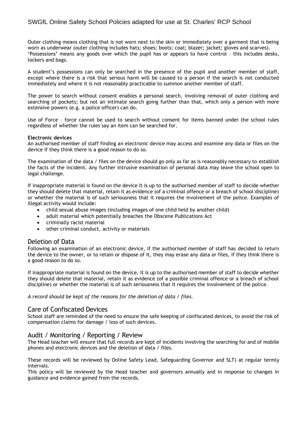### SWGfL Online Safety School Policies adapted for use at St. Charles' RCP School

Outer clothing means clothing that is not worn next to the skin or immediately over a garment that is being worn as underwear (outer clothing includes hats; shoes; boots; coat; blazer; jacket; gloves and scarves). 'Possessions' means any goods over which the pupil has or appears to have control – this includes desks, lockers and bags.

A student's possessions can only be searched in the presence of the pupil and another member of staff, except where there is a risk that serious harm will be caused to a person if the search is not conducted immediately and where it is not reasonably practicable to summon another member of staff.

The power to search without consent enables a personal search, involving removal of outer clothing and searching of pockets; but not an intimate search going further than that, which only a person with more extensive powers (e.g. a police officer) can do.

Use of Force – force cannot be used to search without consent for items banned under the school rules regardless of whether the rules say an item can be searched for.

#### **Electronic devices**

An authorised member of staff finding an electronic device may access and examine any data or files on the device if they think there is a good reason to do so.

The examination of the data / files on the device should go only as far as is reasonably necessary to establish the facts of the incident. Any further intrusive examination of personal data may leave the school open to legal challenge.

If inappropriate material is found on the device it is up to the authorised member of staff to decide whether they should delete that material, retain it as evidence (of a criminal offence or a breach of school discipline) or whether the material is of such seriousness that it requires the involvement of the police. Examples of illegal activity would include:

- child sexual abuse images (including images of one child held by another child)
- adult material which potentially breaches the Obscene Publications Act
- criminally racist material
- other criminal conduct, activity or materials

#### Deletion of Data

Following an examination of an electronic device, if the authorised member of staff has decided to return the device to the owner, or to retain or dispose of it, they may erase any data or files, if they think there is a good reason to do so.

If inappropriate material is found on the device, it is up to the authorised member of staff to decide whether they should delete that material, retain it as evidence (of a possible criminal offence or a breach of school discipline) or whether the material is of such seriousness that it requires the involvement of the police.

*A record should be kept of the reasons for the deletion of data / files.*

#### Care of Confiscated Devices

School staff are reminded of the need to ensure the safe keeping of confiscated devices, to avoid the risk of compensation claims for damage / loss of such devices.

#### Audit / Monitoring / Reporting / Review

The Head teacher will ensure that full records are kept of incidents involving the searching for and of mobile phones and electronic devices and the deletion of data / files.

These records will be reviewed by Online Safety Lead, Safeguarding Governor and SLT) at regular termly intervals.

This policy will be reviewed by the Head teacher and governors annually and in response to changes in guidance and evidence gained from the records.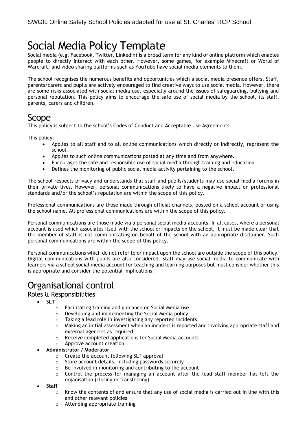# Social Media Policy Template

Social media (e.g. Facebook, Twitter, LinkedIn) is a broad term for any kind of online platform which enables people to directly interact with each other. However, some games, for example Minecraft or World of Warcraft, and video sharing platforms such as YouTube have social media elements to them.

The school recognises the numerous benefits and opportunities which a social media presence offers. Staff, parents/carers and pupils are actively encouraged to find creative ways to use social media. However, there are some risks associated with social media use, especially around the issues of safeguarding, bullying and personal reputation. This policy aims to encourage the safe use of social media by the school, its staff, parents, carers and children.

### Scope

This policy is subject to the school's Codes of Conduct and Acceptable Use Agreements.

This policy:

- Applies to all staff and to all online communications which directly or indirectly, represent the school.
- Applies to such online communications posted at any time and from anywhere.
- Encourages the safe and responsible use of social media through training and education
- Defines the monitoring of public social media activity pertaining to the school.

The school respects privacy and understands that staff and pupils/students may use social media forums in their private lives. However, personal communications likely to have a negative impact on professional standards and/or the school's reputation are within the scope of this policy.

Professional communications are those made through official channels, posted on a school account or using the school name. All professional communications are within the scope of this policy.

Personal communications are those made via a personal social media accounts. In all cases, where a personal account is used which associates itself with the school or impacts on the school, it must be made clear that the member of staff is not communicating on behalf of the school with an appropriate disclaimer. Such personal communications are within the scope of this policy.

Personal communications which do not refer to or impact upon the school are outside the scope of this policy. Digital communications with pupils are also considered. Staff may use social media to communicate with learners via a school social media account for teaching and learning purposes but must consider whether this is appropriate and consider the potential implications.

### Organisational control

### Roles & Responsibilities

- **SLT**
	- o Facilitating training and guidance on Social Media use.
	- o Developing and implementing the Social Media policy
	- o Taking a lead role in investigating any reported incidents.
	- $\circ$  Making an initial assessment when an incident is reported and involving appropriate staff and external agencies as required.
	- o Receive completed applications for Social Media accounts
	- o Approve account creation
- **Administrator / Moderator**
	- o Create the account following SLT approval
	- o Store account details, including passwords securely
	- o Be involved in monitoring and contributing to the account
	- $\circ$  Control the process for managing an account after the lead staff member has left the organisation (closing or transferring)
- **Staff**
	- $\circ$  Know the contents of and ensure that any use of social media is carried out in line with this and other relevant policies
	- o Attending appropriate training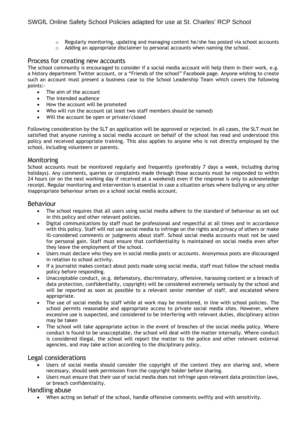- $\circ$  Regularly monitoring, updating and managing content he/she has posted via school accounts
- o Adding an appropriate disclaimer to personal accounts when naming the school.

#### Process for creating new accounts

The school community is encouraged to consider if a social media account will help them in their work, e.g. a history department Twitter account, or a "Friends of the school" Facebook page. Anyone wishing to create such an account must present a business case to the School Leadership Team which covers the following points:-

- The aim of the account
- The intended audience
- How the account will be promoted
- Who will run the account (at least two staff members should be named)
- Will the account be open or private/closed

Following consideration by the SLT an application will be approved or rejected. In all cases, the SLT must be satisfied that anyone running a social media account on behalf of the school has read and understood this policy and received appropriate training. This also applies to anyone who is not directly employed by the school, including volunteers or parents.

#### Monitoring

School accounts must be monitored regularly and frequently (preferably 7 days a week, including during holidays). Any comments, queries or complaints made through those accounts must be responded to within 24 hours (or on the next working day if received at a weekend) even if the response is only to acknowledge receipt. Regular monitoring and intervention is essential in case a situation arises where bullying or any other inappropriate behaviour arises on a school social media account.

#### Behaviour

- The school requires that all users using social media adhere to the standard of behaviour as set out in this policy and other relevant policies.
- Digital communications by staff must be professional and respectful at all times and in accordance with this policy. Staff will not use social media to infringe on the rights and privacy of others or make ill-considered comments or judgments about staff. School social media accounts must not be used for personal gain. Staff must ensure that confidentiality is maintained on social media even after they leave the employment of the school.
- Users must declare who they are in social media posts or accounts. Anonymous posts are discouraged in relation to school activity.
- If a journalist makes contact about posts made using social media, staff must follow the school media policy before responding.
- Unacceptable conduct, (e.g. defamatory, discriminatory, offensive, harassing content or a breach of data protection, confidentiality, copyright) will be considered extremely seriously by the school and will be reported as soon as possible to a relevant senior member of staff, and escalated where appropriate.
- The use of social media by staff while at work may be monitored, in line with school policies. The school permits reasonable and appropriate access to private social media sites. However, where excessive use is suspected, and considered to be interfering with relevant duties, disciplinary action may be taken
- The school will take appropriate action in the event of breaches of the social media policy. Where conduct is found to be unacceptable, the school will deal with the matter internally. Where conduct is considered illegal, the school will report the matter to the police and other relevant external agencies, and may take action according to the disciplinary policy.

### Legal considerations

- Users of social media should consider the copyright of the content they are sharing and, where necessary, should seek permission from the copyright holder before sharing.
- Users must ensure that their use of social media does not infringe upon relevant data protection laws, or breach confidentiality.

#### Handling abuse

When acting on behalf of the school, handle offensive comments swiftly and with sensitivity.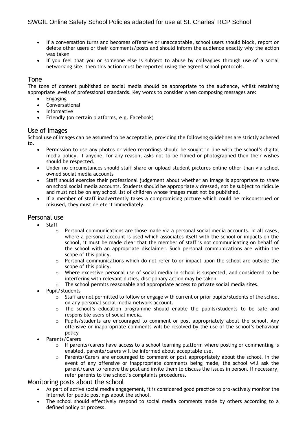- If a conversation turns and becomes offensive or unacceptable, school users should block, report or delete other users or their comments/posts and should inform the audience exactly why the action was taken
- If you feel that you or someone else is subject to abuse by colleagues through use of a social networking site, then this action must be reported using the agreed school protocols.

#### Tone

The tone of content published on social media should be appropriate to the audience, whilst retaining appropriate levels of professional standards. Key words to consider when composing messages are:

- **Engaging**
- **Conversational**
- Informative
- Friendly (on certain platforms, e.g. Facebook)

#### Use of images

School use of images can be assumed to be acceptable, providing the following guidelines are strictly adhered to.

- Permission to use any photos or video recordings should be sought in line with the school's digital media policy. If anyone, for any reason, asks not to be filmed or photographed then their wishes should be respected.
- Under no circumstances should staff share or upload student pictures online other than via school owned social media accounts
- Staff should exercise their professional judgement about whether an image is appropriate to share on school social media accounts. Students should be appropriately dressed, not be subject to ridicule and must not be on any school list of children whose images must not be published.
- If a member of staff inadvertently takes a compromising picture which could be misconstrued or misused, they must delete it immediately.

#### Personal use

- Staff
	- $\circ$  Personal communications are those made via a personal social media accounts. In all cases, where a personal account is used which associates itself with the school or impacts on the school, it must be made clear that the member of staff is not communicating on behalf of the school with an appropriate disclaimer. Such personal communications are within the scope of this policy.
	- $\circ$  Personal communications which do not refer to or impact upon the school are outside the scope of this policy.
	- $\circ$  Where excessive personal use of social media in school is suspected, and considered to be interfering with relevant duties, disciplinary action may be taken
	- $\circ$  The school permits reasonable and appropriate access to private social media sites.
- Pupil/Students
	- $\circ$  Staff are not permitted to follow or engage with current or prior pupils/students of the school on any personal social media network account.
	- o The school's education programme should enable the pupils/students to be safe and responsible users of social media.
	- Pupils/students are encouraged to comment or post appropriately about the school. Any offensive or inappropriate comments will be resolved by the use of the school's behaviour policy
- Parents/Carers
	- $\circ$  If parents/carers have access to a school learning platform where posting or commenting is enabled, parents/carers will be informed about acceptable use.
	- $\circ$  Parents/Carers are encouraged to comment or post appropriately about the school. In the event of any offensive or inappropriate comments being made, the school will ask the parent/carer to remove the post and invite them to discuss the issues in person. If necessary, refer parents to the school's complaints procedures.

#### Monitoring posts about the school

- As part of active social media engagement, it is considered good practice to pro-actively monitor the Internet for public postings about the school.
- The school should effectively respond to social media comments made by others according to a defined policy or process.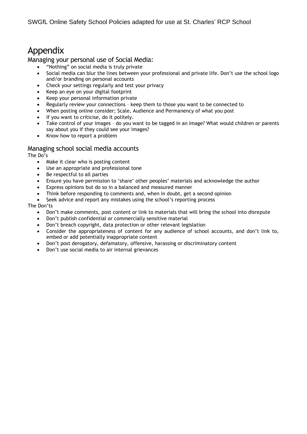### Appendix

### Managing your personal use of Social Media:

- "Nothing" on social media is truly private
- Social media can blur the lines between your professional and private life. Don't use the school logo and/or branding on personal accounts
- Check your settings regularly and test your privacy
- Keep an eye on your digital footprint
- Keep your personal information private
- Regularly review your connections keep them to those you want to be connected to
- When posting online consider; Scale, Audience and Permanency of what you post
- If you want to criticise, do it politely.
- Take control of your images do you want to be tagged in an image? What would children or parents say about you if they could see your images?
- Know how to report a problem

#### Managing school social media accounts

The Do's

- Make it clear who is posting content
- Use an appropriate and professional tone
- Be respectful to all parties
- Ensure you have permission to 'share' other peoples' materials and acknowledge the author
- Express opinions but do so in a balanced and measured manner
- Think before responding to comments and, when in doubt, get a second opinion
- Seek advice and report any mistakes using the school's reporting process

The Don'ts

- Don't make comments, post content or link to materials that will bring the school into disrepute
- Don't publish confidential or commercially sensitive material
- Don't breach copyright, data protection or other relevant legislation
- Consider the appropriateness of content for any audience of school accounts, and don't link to, embed or add potentially inappropriate content
- Don't post derogatory, defamatory, offensive, harassing or discriminatory content
- Don't use social media to air internal grievances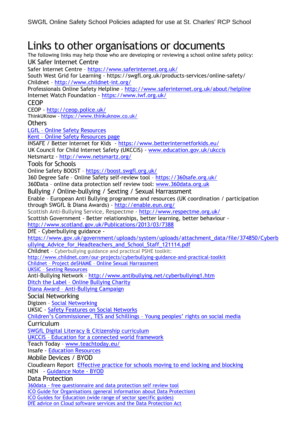## Links to other organisations or documents

The following links may help those who are developing or reviewing a school online safety policy: UK Safer Internet Centre Safer Internet Centre – <https://www.saferinternet.org.uk/> South West Grid for Learning - https://swgfl.org.uk/products-services/online-safety/ Childnet – <http://www.childnet-int.org/> Professionals Online Safety Helpline - <http://www.saferinternet.org.uk/about/helpline> Internet Watch Foundation - <https://www.iwf.org.uk/> **CEOP** CEOP - <http://ceop.police.uk/> [ThinkUKnow](http://www.thinkuknow.co.uk/) - <https://www.thinkuknow.co.uk/> **Others** LGfL – [Online Safety Resources](https://www.lgfl.net/online-safety/resource-centre?a=3) Kent – [Online Safety Resources page](http://www.kelsi.org.uk/child-protection-and-safeguarding/e-safety/e-safety-classroom-materials) INSAFE / Better Internet for Kids - <https://www.betterinternetforkids.eu/> UK Council for Child Internet Safety (UKCCIS) - [www.education.gov.uk/ukccis](http://www.education.gov.uk/ukccis) Netsmartz - <http://www.netsmartz.org/> Tools for Schools Online Safety BOOST – <https://boost.swgfl.org.uk/> 360 Degree Safe – Online Safety self-review tool – <https://360safe.org.uk/> 360Data – online data protection self review tool: [www.360data.org.uk](http://www.360data.org.uk/) Bullying / Online-bullying / Sexting / Sexual Harrassment Enable – European Anti Bullying programme and resources (UK coordination / participation through SWGfL & Diana Awards) - <http://enable.eun.org/> Scottish Anti-Bullying Service, Respectme - <http://www.respectme.org.uk/> Scottish Government - Better relationships, better learning, better behaviour <http://www.scotland.gov.uk/Publications/2013/03/7388> DfE - Cyberbullying guidance [https://www.gov.uk/government/uploads/system/uploads/attachment\\_data/file/374850/Cyberb](https://www.gov.uk/government/uploads/system/uploads/attachment_data/file/374850/Cyberbullying_Advice_for_Headteachers_and_School_Staff_121114.pdf) ullying Advice for Headteachers and School Staff 121114.pdf Childnet – Cyberbullying guidance and practical PSHE toolkit: <http://www.childnet.com/our-projects/cyberbullying-guidance-and-practical-toolkit> Childnet – Project deSHAME – [Online Sexual Harrassment](http://www.childnet.com/our-projects/project-deshame) UKSIC – [Sexting Resources](https://www.saferinternet.org.uk/advice-centre/teachers-and-professionals/teaching-resources/sexting-resources) Anti-Bullying Network – <http://www.antibullying.net/cyberbullying1.htm> Ditch the Label – [Online Bullying Charity](https://www.ditchthelabel.org/) Diana Award – [Anti-Bullying Campaign](http://www.antibullyingpro.com/) Social Networking Digizen – [Social Networking](http://digizen.org/socialnetworking/) UKSIC - [Safety Features on Social Networks](http://www.saferinternet.org.uk/advice-and-resources/teachers-and-professionals/safety-features) [Children's Commissioner, TES and Schillings –](https://www.tes.com/teaching-resources/digital-citizenship) Young peoples' rights on social media **Curriculum** [SWGfL Digital Literacy & Citizenship curriculum](http://www.swgfl.org.uk/digitalliteracy) UKCCIS – [Education for a connected world framework](https://www.gov.uk/government/groups/uk-council-for-child-internet-safety-ukccis) Teach Today – [www.teachtoday.eu/](http://www.teachtoday.de/en/) Insafe - [Education Resources](http://lreforschools.eun.org/web/guest/insafe) Mobile Devices / BYOD Cloudlearn Report [Effective practice for schools moving to end locking and blocking](http://www.360safe.org.uk/Files/Documents/Cloudlearn_Report-end-to-locking-and-blocking.aspx) NEN - [Guidance Note -](http://www.360safe.org.uk/Files/Documents/NEN_Guidance_Note_5_BYOD.aspx) BYOD Data Protection 360data - [free questionnaire and data protection self review tool](http://360data.org.uk/) [ICO Guide for Organisations \(general information about Data Protection\)](https://ico.org.uk/for-organisations/) [ICO Guides for Education \(wide range of sector specific guides\)](https://ico.org.uk/for-organisations/education/) [DfE advice on Cloud software services and the Data Protection Act](https://www.gov.uk/government/publications/cloud-software-services-and-the-data-protection-act)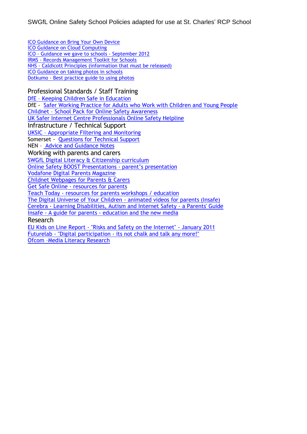[ICO Guidance on Bring Your Own Device](http://ico.org.uk/for_organisations/guidance_index/~/media/documents/library/Data_Protection/Practical_application/ico_bring_your_own_device_byod_guidance.ashx) [ICO Guidance on Cloud](http://ico.org.uk/for_organisations/data_protection/topic_guides/online/cloud_computing) [Computing](https://ico.org.uk/for-the-public/online/cloud-computing/) ICO - [Guidance we gave to schools -](https://360safe.org.uk/Files/Documents/ICO-guidance-for-schools-Sept-2012.aspx) September 2012 IRMS - [Records Management Toolkit for Schools](https://c.ymcdn.com/sites/irms.site-ym.com/resource/collection/8BCEF755-0353-4F66-9877-CCDA4BFEEAC4/2016_IRMS_Toolkit_for_Schools_v5_Master.pdf) NHS - [Caldicott Principles \(information that must be released\)](https://www.igt.hscic.gov.uk/Caldicott2Principles.aspx) [ICO Guidance on taking photos in schools](https://ico.org.uk/for-the-public/schools/photos/) Dotkumo - [Best practice guide to using photos](http://campuspr.co.uk/wp-content/uploads/2017/10/Commissioning-original-photography.pdf)

Professional Standards / Staff Training

DfE – [Keeping Children Safe in Education](https://www.gov.uk/government/publications/keeping-children-safe-in-education--2) DfE - Safer Working Practice for Adults [who Work with Children and Young People](http://www.safeguardinginschools.co.uk/wp-content/uploads/2015/10/Guidance-for-Safer-Working-Practices-2015-final1.pdf) Childnet – [School Pack for Online Safety Awareness](http://www.childnet.com/resources/school-pack-for-online-safety-awareness) [UK Safer Internet Centre Professionals Online Safety Helpline](http://www.saferinternet.org.uk/helpline) Infrastructure / Technical Support UKSIC – [Appropriate Filtering and Monitoring](https://www.saferinternet.org.uk/advice-centre/teachers-and-school-staff/appropriate-filtering-and-monitoring) Somerset - [Questions for Technical Support](https://360safe.org.uk/Files/Documents/Somerset-Questions-for-Technical-Support-v4.aspx)  NEN – [Advice and Guidance Notes](http://www.nen.gov.uk/advice/) Working with parents and carers [SWGfL Digital Literacy & Citizenship curriculum](http://www.swgfl.org.uk/digitalliteracy) [Online Safety BOOST Presentations -](http://www.swgfl.org.uk/boost) parent's presentation [Vodafone Digital Parents Magazine](http://www.vodafone.com/content/parents/digital-parenting.html) [Childnet Webpages for Parents & Carers](http://www.childnet.com/parents-and-carers) Get Safe Online - [resources for parents](http://www.getsafeonline.org/nqcontent.cfm?a_id=1182) Teach Today - resources for parents [workshops / education](http://www.teachtoday.de/en/) [The Digital Universe of Your Children -](http://www.saferinternet.org/digitaluniverse) animated videos for parents (Insafe) Cerebra - [Learning Disabilities, Autism and Internet Safety -](http://www.360safe.org.uk/Files/Documents/Learning-Disabilities,-Autism-and-Internet-Safety.aspx) a Parents' Guide Insafe - A guide for parents - [education and the new media](http://www.360safe.org.uk/Files/Documents/e-safety_booklet-a-Guide-for-Parents-INSAFE.aspx) Research

EU Kids on Line Report - ["Risks and Safety on the Internet" -](http://360safe.org.uk/Files/Documents/EU-Kids-on-Line-Executive_Summary_Full_Findings-Ja) January 2011 Futurelab - "Digital participation - [its not chalk and talk any more!"](http://360safe.org.uk/Files/Documents/FutureLab-Digital-participation--its-not-chalk-and) Ofcom –[Media Literacy Research](https://www.ofcom.org.uk/research-and-data/media-literacy-research)